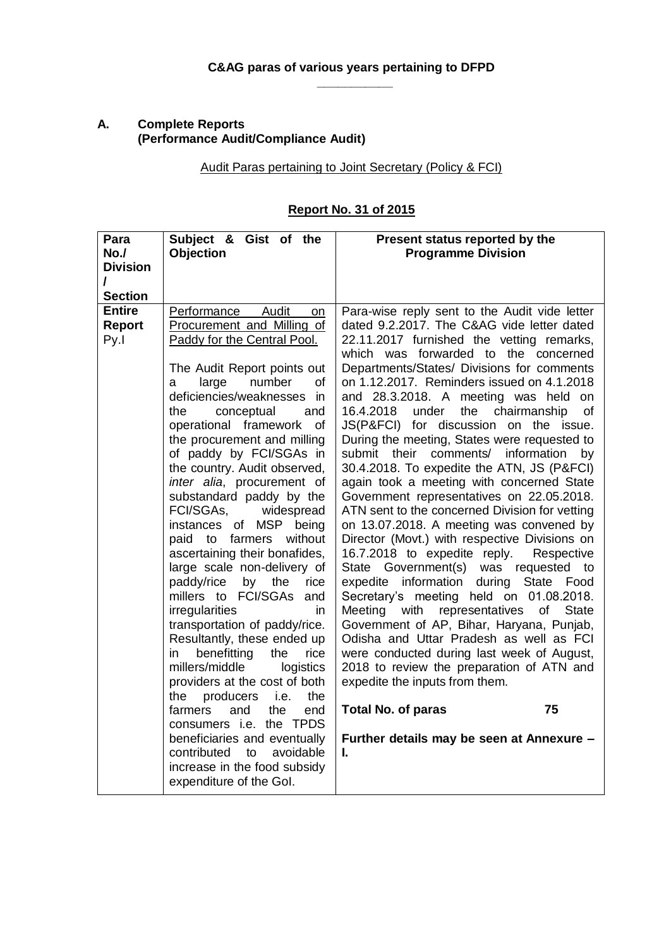### **A. Complete Reports (Performance Audit/Compliance Audit)**

Audit Paras pertaining to Joint Secretary (Policy & FCI)

## **Report No. 31 of 2015**

| Para                | Subject & Gist of the                                      | Present status reported by the                                                         |
|---------------------|------------------------------------------------------------|----------------------------------------------------------------------------------------|
| No./                | <b>Objection</b>                                           | <b>Programme Division</b>                                                              |
| <b>Division</b>     |                                                            |                                                                                        |
| I<br><b>Section</b> |                                                            |                                                                                        |
| <b>Entire</b>       | Performance<br>Audit<br>on                                 | Para-wise reply sent to the Audit vide letter                                          |
| Report              | Procurement and Milling of                                 | dated 9.2.2017. The C&AG vide letter dated                                             |
| Py.I                | Paddy for the Central Pool.                                | 22.11.2017 furnished the vetting remarks,                                              |
|                     |                                                            | which was forwarded to the concerned                                                   |
|                     | The Audit Report points out                                | Departments/States/ Divisions for comments                                             |
|                     | large<br>number<br>οf<br>а                                 | on 1.12.2017. Reminders issued on 4.1.2018                                             |
|                     | deficiencies/weaknesses in                                 | and 28.3.2018. A meeting was held on                                                   |
|                     | the<br>conceptual<br>and                                   | under<br>the<br>chairmanship<br>16.4.2018<br><b>of</b>                                 |
|                     | operational framework<br>0f<br>the procurement and milling | JS(P&FCI) for discussion on the issue.<br>During the meeting, States were requested to |
|                     | of paddy by FCI/SGAs in                                    | submit their comments/<br>information<br>by                                            |
|                     | the country. Audit observed,                               | 30.4.2018. To expedite the ATN, JS (P&FCI)                                             |
|                     | inter alia, procurement of                                 | again took a meeting with concerned State                                              |
|                     | substandard paddy by the                                   | Government representatives on 22.05.2018.                                              |
|                     | FCI/SGAs,<br>widespread                                    | ATN sent to the concerned Division for vetting                                         |
|                     | instances of MSP<br>being                                  | on 13.07.2018. A meeting was convened by                                               |
|                     | farmers<br>without<br>paid to                              | Director (Movt.) with respective Divisions on                                          |
|                     | ascertaining their bonafides,                              | 16.7.2018 to expedite reply.<br>Respective                                             |
|                     | large scale non-delivery of<br>paddy/rice                  | State Government(s) was requested to                                                   |
|                     | by the<br>rice<br>millers to FCI/SGAs and                  | expedite information during State Food<br>Secretary's meeting held on 01.08.2018.      |
|                     | irregularities<br>in.                                      | Meeting<br>with<br>representatives<br><b>State</b><br>of                               |
|                     | transportation of paddy/rice.                              | Government of AP, Bihar, Haryana, Punjab,                                              |
|                     | Resultantly, these ended up                                | Odisha and Uttar Pradesh as well as FCI                                                |
|                     | benefitting<br>rice<br>the<br>in                           | were conducted during last week of August,                                             |
|                     | millers/middle<br>logistics                                | 2018 to review the preparation of ATN and                                              |
|                     | providers at the cost of both                              | expedite the inputs from them.                                                         |
|                     | i.e.<br>the<br>the<br>producers                            |                                                                                        |
|                     | and<br>the<br>farmers<br>end<br>consumers i.e. the TPDS    | 75<br><b>Total No. of paras</b>                                                        |
|                     | beneficiaries and eventually                               | Further details may be seen at Annexure -                                              |
|                     | contributed<br>to<br>avoidable                             | L.                                                                                     |
|                     | increase in the food subsidy                               |                                                                                        |
|                     | expenditure of the Gol.                                    |                                                                                        |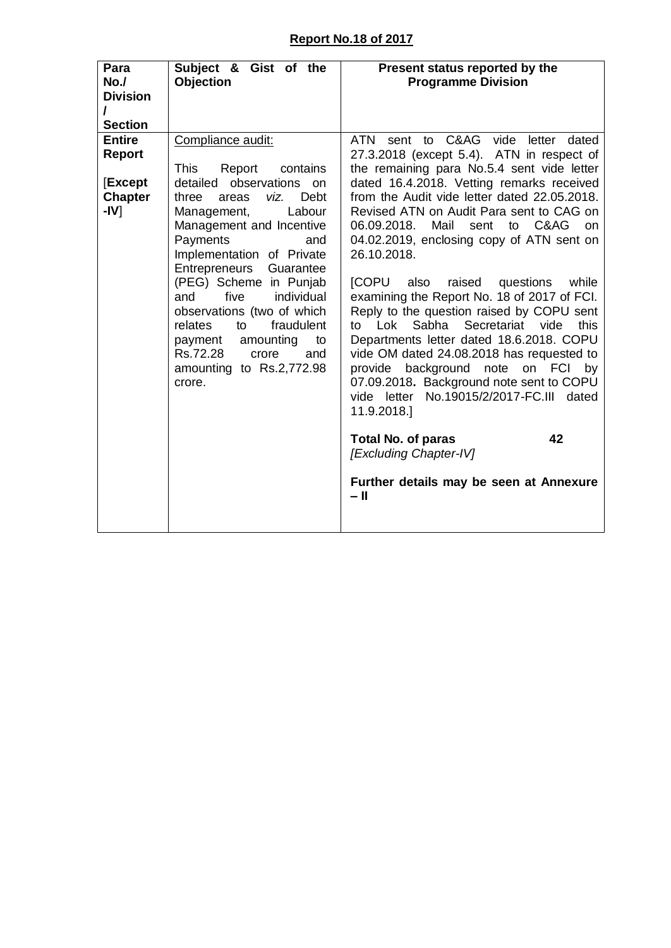## **Report No.18 of 2017**

| Para<br>No.<br><b>Division</b><br><b>Section</b>                          | Subject & Gist of the<br><b>Objection</b>                                                                                                                                                                                                                                                                                                                                                                                                                             | Present status reported by the<br><b>Programme Division</b>                                                                                                                                                                                                                                                                                                                                                                                                                                                                                                                                                                                                                                                                                                                                                                                                                                                                                                      |
|---------------------------------------------------------------------------|-----------------------------------------------------------------------------------------------------------------------------------------------------------------------------------------------------------------------------------------------------------------------------------------------------------------------------------------------------------------------------------------------------------------------------------------------------------------------|------------------------------------------------------------------------------------------------------------------------------------------------------------------------------------------------------------------------------------------------------------------------------------------------------------------------------------------------------------------------------------------------------------------------------------------------------------------------------------------------------------------------------------------------------------------------------------------------------------------------------------------------------------------------------------------------------------------------------------------------------------------------------------------------------------------------------------------------------------------------------------------------------------------------------------------------------------------|
| <b>Entire</b><br><b>Report</b><br><b>Except</b><br><b>Chapter</b><br>-IV] | Compliance audit:<br>This.<br>Report<br>contains<br>detailed observations on<br>viz.<br>Debt<br>three<br>areas<br>Labour<br>Management,<br>Management and Incentive<br>Payments<br>and<br>Implementation of Private<br>Entrepreneurs<br>Guarantee<br>(PEG) Scheme in Punjab<br>five<br>individual<br>and<br>observations (two of which<br>fraudulent<br>relates<br>to<br>amounting<br>payment<br>to<br>Rs.72.28<br>crore<br>and<br>amounting to Rs.2,772.98<br>crore. | sent to C&AG vide<br><b>ATN</b><br>letter<br>dated<br>27.3.2018 (except 5.4). ATN in respect of<br>the remaining para No.5.4 sent vide letter<br>dated 16.4.2018. Vetting remarks received<br>from the Audit vide letter dated 22,05,2018.<br>Revised ATN on Audit Para sent to CAG on<br>06.09.2018.<br>Mail<br>C&AG<br>sent<br>to<br>on<br>04.02.2019, enclosing copy of ATN sent on<br>26.10.2018.<br>[COPU also<br>raised<br>questions<br>while<br>examining the Report No. 18 of 2017 of FCI.<br>Reply to the question raised by COPU sent<br>Sabha Secretariat vide<br>this<br>Lok<br>to to<br>Departments letter dated 18.6.2018. COPU<br>vide OM dated 24.08.2018 has requested to<br>background note<br>on FCI<br>provide<br>by<br>07.09.2018. Background note sent to COPU<br>vide letter No.19015/2/2017-FC.III dated<br>11.9.2018.]<br>42<br><b>Total No. of paras</b><br>[Excluding Chapter-IV]<br>Further details may be seen at Annexure<br>$-11$ |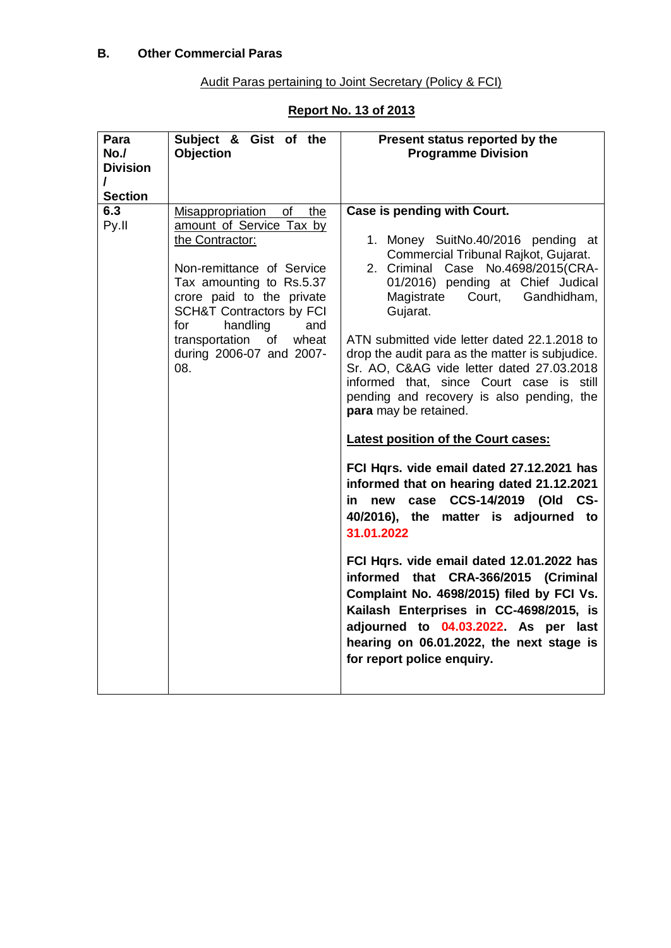## Audit Paras pertaining to Joint Secretary (Policy & FCI)

## **Report No. 13 of 2013**

| Para<br>No.           | Subject & Gist of the<br><b>Objection</b>                                                                                                                                                                                                                              | Present status reported by the<br><b>Programme Division</b>                                                                                                                                                                                                                                                                                                                                                                                                                                                                                                                                                                                                                                                                                                                                                                                                                                                                                                                                                |
|-----------------------|------------------------------------------------------------------------------------------------------------------------------------------------------------------------------------------------------------------------------------------------------------------------|------------------------------------------------------------------------------------------------------------------------------------------------------------------------------------------------------------------------------------------------------------------------------------------------------------------------------------------------------------------------------------------------------------------------------------------------------------------------------------------------------------------------------------------------------------------------------------------------------------------------------------------------------------------------------------------------------------------------------------------------------------------------------------------------------------------------------------------------------------------------------------------------------------------------------------------------------------------------------------------------------------|
| <b>Division</b>       |                                                                                                                                                                                                                                                                        |                                                                                                                                                                                                                                                                                                                                                                                                                                                                                                                                                                                                                                                                                                                                                                                                                                                                                                                                                                                                            |
| I                     |                                                                                                                                                                                                                                                                        |                                                                                                                                                                                                                                                                                                                                                                                                                                                                                                                                                                                                                                                                                                                                                                                                                                                                                                                                                                                                            |
| <b>Section</b><br>6.3 | the<br>of                                                                                                                                                                                                                                                              | Case is pending with Court.                                                                                                                                                                                                                                                                                                                                                                                                                                                                                                                                                                                                                                                                                                                                                                                                                                                                                                                                                                                |
|                       | <b>Misappropriation</b>                                                                                                                                                                                                                                                |                                                                                                                                                                                                                                                                                                                                                                                                                                                                                                                                                                                                                                                                                                                                                                                                                                                                                                                                                                                                            |
| Py.II                 | amount of Service Tax by<br>the Contractor:<br>Non-remittance of Service<br>Tax amounting to Rs.5.37<br>crore paid to the private<br><b>SCH&amp;T Contractors by FCI</b><br>handling<br>for<br>and<br>transportation<br>of<br>wheat<br>during 2006-07 and 2007-<br>08. | 1. Money SuitNo.40/2016 pending at<br>Commercial Tribunal Rajkot, Gujarat.<br>2. Criminal Case No.4698/2015(CRA-<br>01/2016) pending at Chief Judical<br>Magistrate<br>Court,<br>Gandhidham,<br>Gujarat.<br>ATN submitted vide letter dated 22.1.2018 to<br>drop the audit para as the matter is subjudice.<br>Sr. AO, C&AG vide letter dated 27.03.2018<br>informed that, since Court case is still<br>pending and recovery is also pending, the<br>para may be retained.<br>Latest position of the Court cases:<br>FCI Hqrs. vide email dated 27.12.2021 has<br>informed that on hearing dated 21.12.2021<br>case CCS-14/2019 (Old CS-<br>in<br>new<br>40/2016), the matter is adjourned to<br>31.01.2022<br>FCI Hqrs. vide email dated 12.01.2022 has<br>informed that CRA-366/2015 (Criminal<br>Complaint No. 4698/2015) filed by FCI Vs.<br>Kailash Enterprises in CC-4698/2015, is<br>adjourned to 04.03.2022. As per last<br>hearing on 06.01.2022, the next stage is<br>for report police enquiry. |
|                       |                                                                                                                                                                                                                                                                        |                                                                                                                                                                                                                                                                                                                                                                                                                                                                                                                                                                                                                                                                                                                                                                                                                                                                                                                                                                                                            |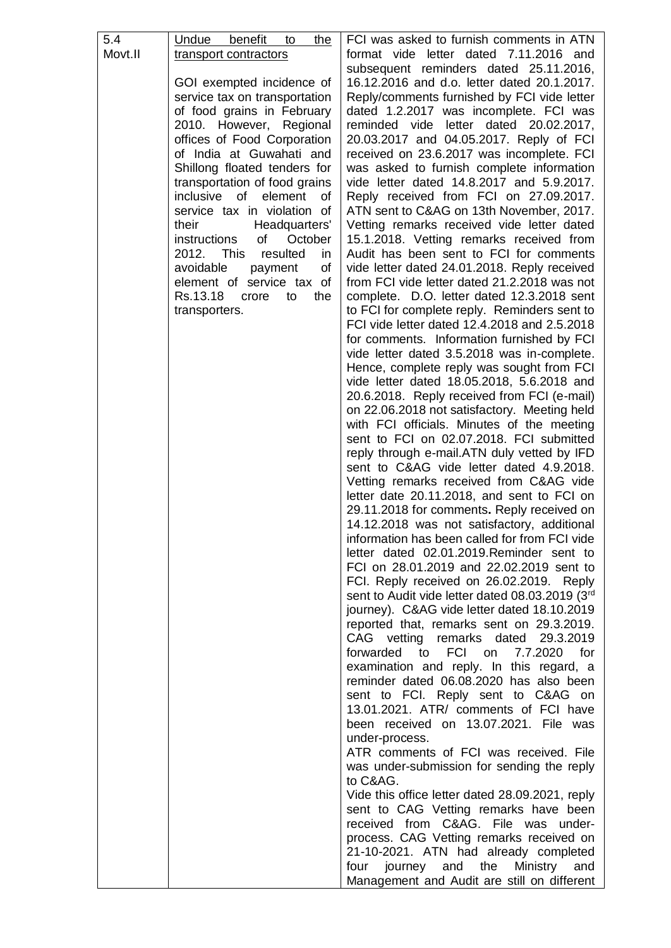| 5.4     | benefit<br>Undue<br>the<br>to                   | FCI was asked to furnish comments in ATN                                                 |
|---------|-------------------------------------------------|------------------------------------------------------------------------------------------|
| Movt.II | transport contractors                           | format vide letter dated 7.11.2016 and                                                   |
|         |                                                 | subsequent reminders dated 25.11.2016,                                                   |
|         | GOI exempted incidence of                       | 16.12.2016 and d.o. letter dated 20.1.2017.                                              |
|         | service tax on transportation                   | Reply/comments furnished by FCI vide letter                                              |
|         | of food grains in February                      | dated 1.2.2017 was incomplete. FCI was                                                   |
|         | 2010. However, Regional                         | reminded vide<br>letter dated 20.02.2017,                                                |
|         | offices of Food Corporation                     | 20.03.2017 and 04.05.2017. Reply of FCI                                                  |
|         | of India at Guwahati and                        | received on 23.6.2017 was incomplete. FCI                                                |
|         | Shillong floated tenders for                    | was asked to furnish complete information                                                |
|         | transportation of food grains                   | vide letter dated 14.8.2017 and 5.9.2017.                                                |
|         | inclusive<br>of<br>element<br>οf                | Reply received from FCI on 27.09.2017.                                                   |
|         | service tax in violation of                     | ATN sent to C&AG on 13th November, 2017.                                                 |
|         | their<br>Headquarters'                          | Vetting remarks received vide letter dated                                               |
|         | instructions<br>of<br>October                   | 15.1.2018. Vetting remarks received from                                                 |
|         | resulted<br>2012. This<br>in<br>avoidable<br>οf | Audit has been sent to FCI for comments<br>vide letter dated 24.01.2018. Reply received  |
|         | payment<br>element of service tax of            | from FCI vide letter dated 21.2.2018 was not                                             |
|         | Rs.13.18<br>the<br>crore<br>to                  | complete. D.O. letter dated 12.3.2018 sent                                               |
|         | transporters.                                   | to FCI for complete reply. Reminders sent to                                             |
|         |                                                 | FCI vide letter dated 12.4.2018 and 2.5.2018                                             |
|         |                                                 | for comments. Information furnished by FCI                                               |
|         |                                                 | vide letter dated 3.5.2018 was in-complete.                                              |
|         |                                                 | Hence, complete reply was sought from FCI                                                |
|         |                                                 | vide letter dated 18.05.2018, 5.6.2018 and                                               |
|         |                                                 | 20.6.2018. Reply received from FCI (e-mail)                                              |
|         |                                                 | on 22.06.2018 not satisfactory. Meeting held                                             |
|         |                                                 | with FCI officials. Minutes of the meeting                                               |
|         |                                                 | sent to FCI on 02.07.2018. FCI submitted                                                 |
|         |                                                 | reply through e-mail.ATN duly vetted by IFD                                              |
|         |                                                 | sent to C&AG vide letter dated 4.9.2018.                                                 |
|         |                                                 | Vetting remarks received from C&AG vide                                                  |
|         |                                                 | letter date 20.11.2018, and sent to FCI on<br>29.11.2018 for comments. Reply received on |
|         |                                                 | 14.12.2018 was not satisfactory, additional                                              |
|         |                                                 | information has been called for from FCI vide                                            |
|         |                                                 | letter dated 02.01.2019. Reminder sent to                                                |
|         |                                                 | FCI on 28.01.2019 and 22.02.2019 sent to                                                 |
|         |                                                 | FCI. Reply received on 26.02.2019. Reply                                                 |
|         |                                                 | sent to Audit vide letter dated 08.03.2019 (3rd                                          |
|         |                                                 | journey). C&AG vide letter dated 18.10.2019                                              |
|         |                                                 | reported that, remarks sent on 29.3.2019.                                                |
|         |                                                 | CAG vetting remarks dated 29.3.2019                                                      |
|         |                                                 | forwarded to FCI<br>7.7.2020<br>for<br>on                                                |
|         |                                                 | examination and reply. In this regard, a                                                 |
|         |                                                 | reminder dated 06.08.2020 has also been                                                  |
|         |                                                 | sent to FCI. Reply sent to C&AG on<br>13.01.2021. ATR/ comments of FCI have              |
|         |                                                 | been received on 13.07.2021. File was                                                    |
|         |                                                 | under-process.                                                                           |
|         |                                                 | ATR comments of FCI was received. File                                                   |
|         |                                                 | was under-submission for sending the reply                                               |
|         |                                                 | to C&AG.                                                                                 |
|         |                                                 | Vide this office letter dated 28.09.2021, reply                                          |
|         |                                                 | sent to CAG Vetting remarks have been                                                    |
|         |                                                 | received from C&AG. File was under-                                                      |
|         |                                                 | process. CAG Vetting remarks received on                                                 |
|         |                                                 | 21-10-2021. ATN had already completed                                                    |
|         |                                                 | four journey and the<br>Ministry<br>and                                                  |
|         |                                                 | Management and Audit are still on different                                              |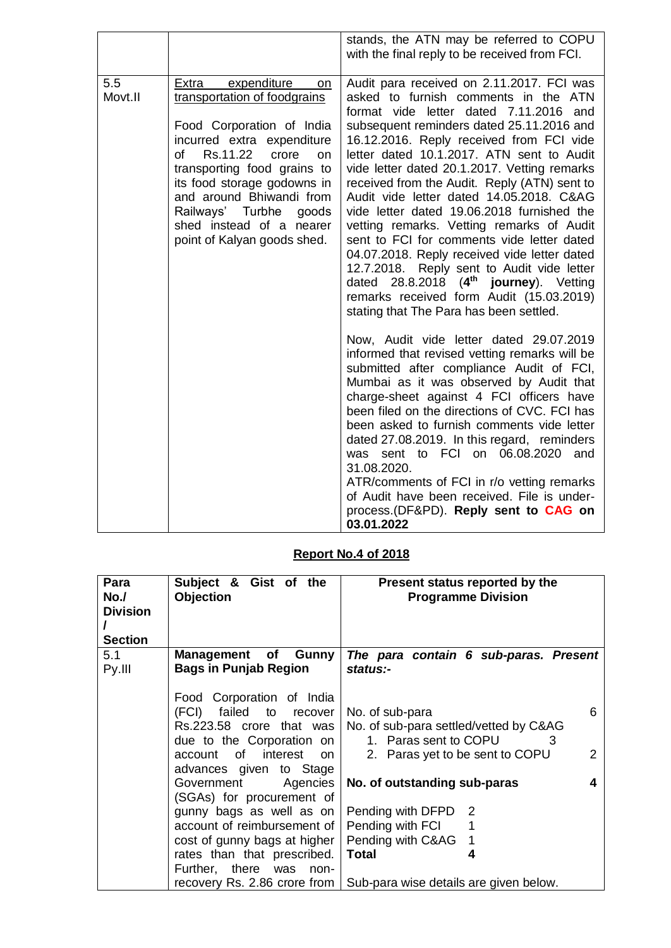|                |                                                                                                                                                                                                                                                                                                                                                 | stands, the ATN may be referred to COPU<br>with the final reply to be received from FCI.                                                                                                                                                                                                                                                                                                                                                                                                                                                                                                                                                                                                                                                                                                                                                                                                                                                                                                                                                                                                                                                                                                                                                                                                                                                                                                                  |
|----------------|-------------------------------------------------------------------------------------------------------------------------------------------------------------------------------------------------------------------------------------------------------------------------------------------------------------------------------------------------|-----------------------------------------------------------------------------------------------------------------------------------------------------------------------------------------------------------------------------------------------------------------------------------------------------------------------------------------------------------------------------------------------------------------------------------------------------------------------------------------------------------------------------------------------------------------------------------------------------------------------------------------------------------------------------------------------------------------------------------------------------------------------------------------------------------------------------------------------------------------------------------------------------------------------------------------------------------------------------------------------------------------------------------------------------------------------------------------------------------------------------------------------------------------------------------------------------------------------------------------------------------------------------------------------------------------------------------------------------------------------------------------------------------|
| 5.5<br>Movt.II | expenditure<br>Extra<br>on<br>transportation of foodgrains<br>Food Corporation of India<br>incurred extra expenditure<br>Rs.11.22<br>crore<br>оf<br><b>on</b><br>transporting food grains to<br>its food storage godowns in<br>and around Bhiwandi from<br>Railways' Turbhe<br>goods<br>shed instead of a nearer<br>point of Kalyan goods shed. | Audit para received on 2.11.2017. FCI was<br>asked to furnish comments in the ATN<br>format vide letter dated 7.11.2016<br>and<br>subsequent reminders dated 25.11.2016 and<br>16.12.2016. Reply received from FCI vide<br>letter dated 10.1.2017. ATN sent to Audit<br>vide letter dated 20.1.2017. Vetting remarks<br>received from the Audit. Reply (ATN) sent to<br>Audit vide letter dated 14.05.2018. C&AG<br>vide letter dated 19.06.2018 furnished the<br>vetting remarks. Vetting remarks of Audit<br>sent to FCI for comments vide letter dated<br>04.07.2018. Reply received vide letter dated<br>Reply sent to Audit vide letter<br>12.7.2018.<br>dated 28.8.2018 (4 <sup>th</sup><br><b>journey</b> ). Vetting<br>remarks received form Audit (15.03.2019)<br>stating that The Para has been settled.<br>Now, Audit vide letter dated 29.07.2019<br>informed that revised vetting remarks will be<br>submitted after compliance Audit of FCI,<br>Mumbai as it was observed by Audit that<br>charge-sheet against 4 FCI officers have<br>been filed on the directions of CVC. FCI has<br>been asked to furnish comments vide letter<br>dated 27.08.2019. In this regard, reminders<br>was sent to FCI on 06.08.2020<br>and<br>31.08.2020.<br>ATR/comments of FCI in r/o vetting remarks<br>of Audit have been received. File is under-<br>process.(DF&PD). Reply sent to CAG on<br>03.01.2022 |

# **Report No.4 of 2018**

| Para            | Subject & Gist of the            | Present status reported by the         |
|-----------------|----------------------------------|----------------------------------------|
| No.             | <b>Objection</b>                 | <b>Programme Division</b>              |
| <b>Division</b> |                                  |                                        |
|                 |                                  |                                        |
| <b>Section</b>  |                                  |                                        |
| 5.1             | Management<br>of<br><b>Gunny</b> | The para contain 6 sub-paras. Present  |
| Py.III          | <b>Bags in Punjab Region</b>     | status:-                               |
|                 |                                  |                                        |
|                 | Food Corporation of India        |                                        |
|                 | (FCI)<br>failed<br>to recover    | No. of sub-para<br>6                   |
|                 | Rs.223.58 crore that was         | No. of sub-para settled/vetted by C&AG |
|                 | due to the Corporation on        | 1. Paras sent to COPU<br>З             |
|                 | account of<br>interest<br>on l   | 2<br>2. Paras yet to be sent to COPU   |
|                 | advances given to Stage          |                                        |
|                 | Agencies<br>Government           | No. of outstanding sub-paras           |
|                 | (SGAs) for procurement of        |                                        |
|                 | gunny bags as well as on         | Pending with DFPD<br>2                 |
|                 | account of reimbursement of      | Pending with FCI                       |
|                 | cost of gunny bags at higher     | Pending with C&AG                      |
|                 | rates than that prescribed.      | <b>Total</b>                           |
|                 | Further, there was non-          |                                        |
|                 | recovery Rs. 2.86 crore from     | Sub-para wise details are given below. |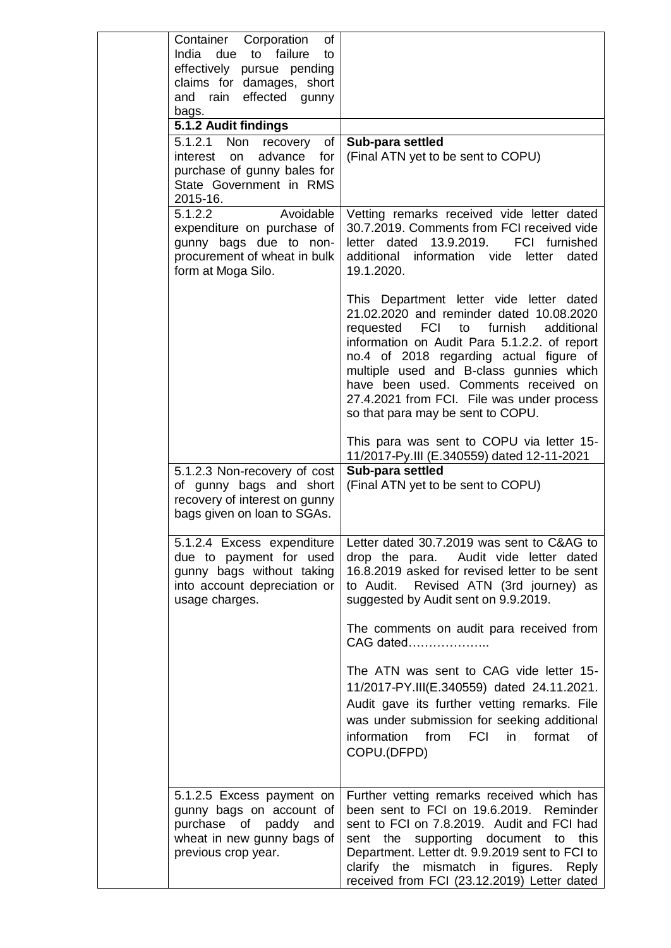| of<br>Container Corporation<br>India due to failure<br>to<br>effectively pursue pending<br>claims for damages, short<br>and rain effected gunny<br>bags. |                                                                                                                                                                                                                                                                                                                                                                                                 |
|----------------------------------------------------------------------------------------------------------------------------------------------------------|-------------------------------------------------------------------------------------------------------------------------------------------------------------------------------------------------------------------------------------------------------------------------------------------------------------------------------------------------------------------------------------------------|
| 5.1.2 Audit findings                                                                                                                                     |                                                                                                                                                                                                                                                                                                                                                                                                 |
| 5.1.2.1<br>Non recovery<br>of<br>advance<br>interest<br>on<br>for<br>purchase of gunny bales for<br>State Government in RMS<br>2015-16.                  | Sub-para settled<br>(Final ATN yet to be sent to COPU)                                                                                                                                                                                                                                                                                                                                          |
| Avoidable<br>5.1.2.2<br>expenditure on purchase of<br>gunny bags due to non-<br>procurement of wheat in bulk<br>form at Moga Silo.                       | Vetting remarks received vide letter dated<br>30.7.2019. Comments from FCI received vide<br>letter dated 13.9.2019.<br>FCI furnished<br>additional information vide letter<br>dated<br>19.1.2020.                                                                                                                                                                                               |
|                                                                                                                                                          | This Department letter vide letter dated<br>21.02.2020 and reminder dated 10.08.2020<br>requested FCI to furnish<br>additional<br>information on Audit Para 5.1.2.2. of report<br>no.4 of 2018 regarding actual figure of<br>multiple used and B-class gunnies which<br>have been used. Comments received on<br>27.4.2021 from FCI. File was under process<br>so that para may be sent to COPU. |
|                                                                                                                                                          | This para was sent to COPU via letter 15-<br>11/2017-Py.III (E.340559) dated 12-11-2021                                                                                                                                                                                                                                                                                                         |
| 5.1.2.3 Non-recovery of cost<br>of gunny bags and short<br>recovery of interest on gunny<br>bags given on loan to SGAs.                                  | Sub-para settled<br>(Final ATN yet to be sent to COPU)                                                                                                                                                                                                                                                                                                                                          |
| 5.1.2.4 Excess expenditure<br>due to payment for used<br>gunny bags without taking<br>into account depreciation or<br>usage charges.                     | Letter dated 30.7.2019 was sent to C&AG to<br>drop the para. Audit vide letter dated<br>16.8.2019 asked for revised letter to be sent<br>to Audit. Revised ATN (3rd journey) as<br>suggested by Audit sent on 9.9.2019.                                                                                                                                                                         |
|                                                                                                                                                          | The comments on audit para received from<br>CAG dated                                                                                                                                                                                                                                                                                                                                           |
|                                                                                                                                                          | The ATN was sent to CAG vide letter 15-<br>11/2017-PY.III(E.340559) dated 24.11.2021.<br>Audit gave its further vetting remarks. File<br>was under submission for seeking additional<br>information from FCI in format<br>of<br>COPU.(DFPD)                                                                                                                                                     |
| 5.1.2.5 Excess payment on<br>gunny bags on account of<br>purchase of paddy<br>and<br>wheat in new gunny bags of<br>previous crop year.                   | Further vetting remarks received which has<br>been sent to FCI on 19.6.2019. Reminder<br>sent to FCI on 7.8.2019. Audit and FCI had<br>sent the supporting document to<br>this<br>Department. Letter dt. 9.9.2019 sent to FCI to<br>clarify the mismatch in figures. Reply<br>received from FCI (23.12.2019) Letter dated                                                                       |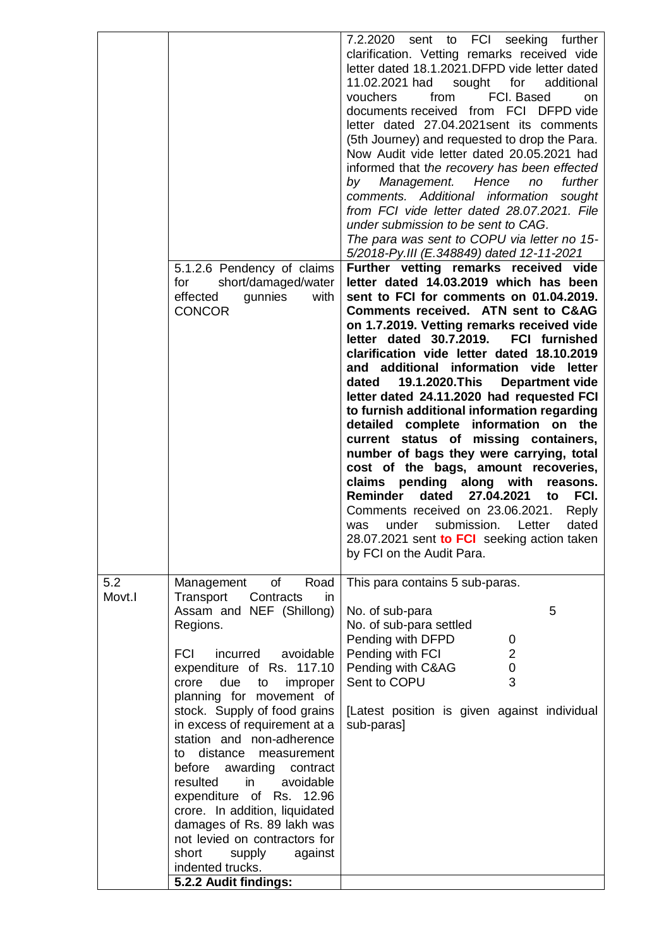|               | 5.1.2.6 Pendency of claims<br>short/damaged/water<br>for<br>effected<br>gunnies<br>with<br><b>CONCOR</b>                                                                                                                                                                                                                                                                                                                                                                                                                                                                                                                                                                                                                                                | FCI seeking further<br>7.2.2020<br>sent<br>to<br>clarification. Vetting remarks received vide<br>letter dated 18.1.2021.DFPD vide letter dated<br>11.02.2021 had<br>sought for<br>additional<br>FCI. Based<br>from<br>vouchers<br>on<br>documents received from FCI DFPD vide<br>letter dated 27.04.2021 sent its comments<br>(5th Journey) and requested to drop the Para.<br>Now Audit vide letter dated 20.05.2021 had<br>informed that the recovery has been effected<br>further<br>Management.<br>Hence<br>no<br>by<br>comments. Additional information<br>sought<br>from FCI vide letter dated 28.07.2021. File<br>under submission to be sent to CAG.<br>The para was sent to COPU via letter no 15-<br>5/2018-Py.III (E.348849) dated 12-11-2021<br>Further vetting remarks received vide<br>letter dated 14.03.2019 which has been<br>sent to FCI for comments on 01.04.2019.<br>Comments received. ATN sent to C&AG<br>on 1.7.2019. Vetting remarks received vide<br>letter dated 30.7.2019.<br><b>FCI</b> furnished<br>clarification vide letter dated 18.10.2019<br>and additional information vide letter<br>19.1.2020.This<br><b>Department vide</b><br>dated<br>letter dated 24.11.2020 had requested FCI<br>to furnish additional information regarding<br>complete information on the<br>detailed<br>current status of missing containers,<br>number of bags they were carrying, total<br>cost of the bags, amount recoveries,<br>claims pending along with<br>reasons.<br>Reminder<br>27.04.2021<br>dated<br>FCI.<br>to<br>Comments received on 23.06.2021.<br>Reply<br>under submission. Letter<br>dated<br>was<br>28.07.2021 sent to FCI seeking action taken<br>by FCI on the Audit Para. |
|---------------|---------------------------------------------------------------------------------------------------------------------------------------------------------------------------------------------------------------------------------------------------------------------------------------------------------------------------------------------------------------------------------------------------------------------------------------------------------------------------------------------------------------------------------------------------------------------------------------------------------------------------------------------------------------------------------------------------------------------------------------------------------|----------------------------------------------------------------------------------------------------------------------------------------------------------------------------------------------------------------------------------------------------------------------------------------------------------------------------------------------------------------------------------------------------------------------------------------------------------------------------------------------------------------------------------------------------------------------------------------------------------------------------------------------------------------------------------------------------------------------------------------------------------------------------------------------------------------------------------------------------------------------------------------------------------------------------------------------------------------------------------------------------------------------------------------------------------------------------------------------------------------------------------------------------------------------------------------------------------------------------------------------------------------------------------------------------------------------------------------------------------------------------------------------------------------------------------------------------------------------------------------------------------------------------------------------------------------------------------------------------------------------------------------------------------------------------------------------------------------|
| 5.2<br>Movt.I | of the control of the control of the control of the control of the control of the control of the control of th<br>Road<br>Management<br>Transport<br>Contracts<br>in.<br>Assam and NEF (Shillong)<br>Regions.<br><b>FCI</b><br>incurred<br>avoidable<br>expenditure of Rs. 117.10<br>due<br>crore<br>to<br>improper<br>planning for movement of<br>stock. Supply of food grains<br>in excess of requirement at a<br>station and non-adherence<br>distance<br>to<br>measurement<br>awarding<br>before<br>contract<br>avoidable<br>resulted<br>in<br>expenditure of Rs. 12.96<br>crore. In addition, liquidated<br>damages of Rs. 89 lakh was<br>not levied on contractors for<br>short<br>supply<br>against<br>indented trucks.<br>5.2.2 Audit findings: | This para contains 5 sub-paras.<br>5<br>No. of sub-para<br>No. of sub-para settled<br>Pending with DFPD<br>0<br>$\overline{2}$<br>Pending with FCI<br>$\pmb{0}$<br>Pending with C&AG<br>3<br>Sent to COPU<br>[Latest position is given against individual<br>sub-paras]                                                                                                                                                                                                                                                                                                                                                                                                                                                                                                                                                                                                                                                                                                                                                                                                                                                                                                                                                                                                                                                                                                                                                                                                                                                                                                                                                                                                                                        |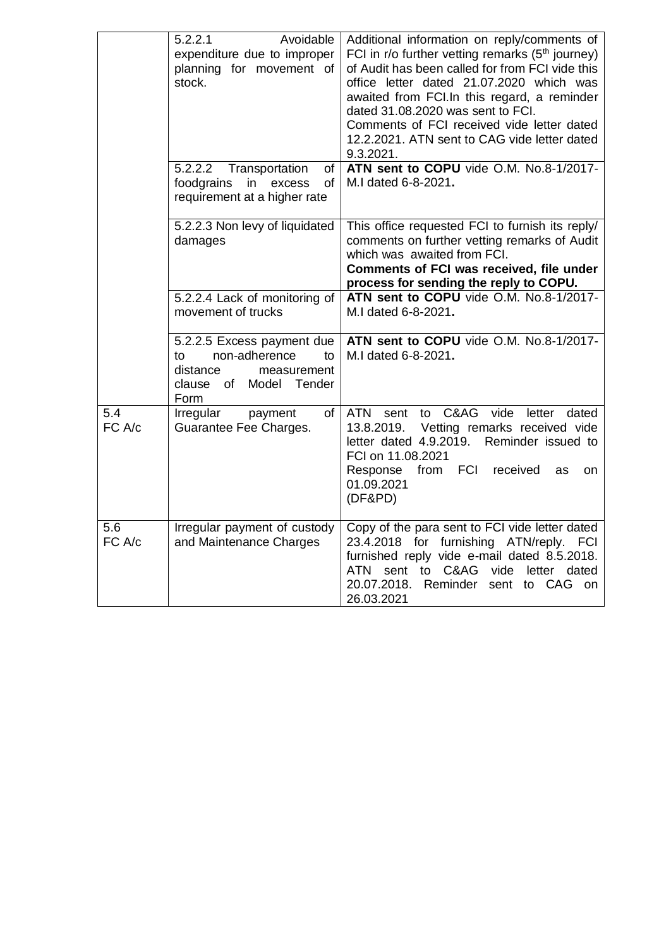|               | 5.2.2.1<br>Avoidable<br>expenditure due to improper<br>planning for movement of<br>stock.                                     | Additional information on reply/comments of<br>FCI in r/o further vetting remarks (5 <sup>th</sup> journey)<br>of Audit has been called for from FCI vide this<br>office letter dated 21.07.2020 which was<br>awaited from FCI. In this regard, a reminder<br>dated 31.08.2020 was sent to FCI.<br>Comments of FCI received vide letter dated<br>12.2.2021. ATN sent to CAG vide letter dated<br>9.3.2021. |
|---------------|-------------------------------------------------------------------------------------------------------------------------------|------------------------------------------------------------------------------------------------------------------------------------------------------------------------------------------------------------------------------------------------------------------------------------------------------------------------------------------------------------------------------------------------------------|
|               | 5.2.2.2<br>Transportation<br>of<br>of<br>foodgrains<br>in<br>excess<br>requirement at a higher rate                           | ATN sent to COPU vide O.M. No.8-1/2017-<br>M.I dated 6-8-2021.                                                                                                                                                                                                                                                                                                                                             |
|               | 5.2.2.3 Non levy of liquidated<br>damages                                                                                     | This office requested FCI to furnish its reply/<br>comments on further vetting remarks of Audit<br>which was awaited from FCI.<br>Comments of FCI was received, file under<br>process for sending the reply to COPU.                                                                                                                                                                                       |
|               | 5.2.2.4 Lack of monitoring of<br>movement of trucks                                                                           | ATN sent to COPU vide O.M. No.8-1/2017-<br>M.I dated 6-8-2021.                                                                                                                                                                                                                                                                                                                                             |
|               | 5.2.2.5 Excess payment due<br>non-adherence<br>to<br>to<br>distance<br>measurement<br>clause<br>of<br>Model<br>Tender<br>Form | ATN sent to COPU vide O.M. No.8-1/2017-<br>M.I dated 6-8-2021.                                                                                                                                                                                                                                                                                                                                             |
| 5.4<br>FC A/c | of<br>Irregular<br>payment<br>Guarantee Fee Charges.                                                                          | C&AG<br><b>ATN</b><br>vide<br>letter dated<br>sent to<br>13.8.2019.<br>Vetting remarks received vide<br>letter dated 4.9.2019. Reminder issued to<br>FCI on 11.08.2021<br>Response<br>from FCI received<br>as<br>on<br>01.09.2021<br>(DF&PD)                                                                                                                                                               |
| 5.6<br>FC A/c | Irregular payment of custody<br>and Maintenance Charges                                                                       | Copy of the para sent to FCI vide letter dated<br>23.4.2018 for furnishing ATN/reply. FCI<br>furnished reply vide e-mail dated 8.5.2018.<br>letter dated<br>ATN<br>sent to C&AG<br>vide<br>20.07.2018. Reminder<br>sent to CAG on<br>26.03.2021                                                                                                                                                            |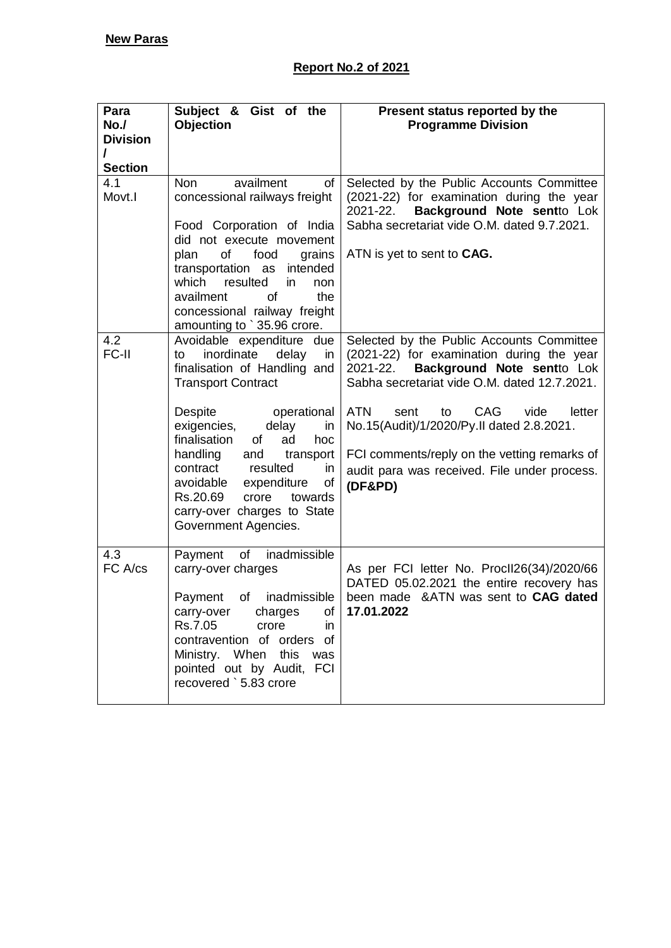| Para<br>No.<br><b>Division</b><br>$\prime$ | Subject & Gist of the<br>Objection                                                                                                                                                                                                                                                                                                                                                                       | Present status reported by the<br><b>Programme Division</b>                                                                                                                                                                                                                                                                                                                                          |
|--------------------------------------------|----------------------------------------------------------------------------------------------------------------------------------------------------------------------------------------------------------------------------------------------------------------------------------------------------------------------------------------------------------------------------------------------------------|------------------------------------------------------------------------------------------------------------------------------------------------------------------------------------------------------------------------------------------------------------------------------------------------------------------------------------------------------------------------------------------------------|
| <b>Section</b><br>4.1<br>Movt.I            | availment<br><b>Non</b><br>of<br>concessional railways freight<br>Food Corporation of India<br>did not execute movement<br>of<br>plan<br>food<br>grains<br>transportation as<br>intended<br>which<br>resulted<br>in<br>non<br>availment<br>the<br>of<br>concessional railway freight<br>amounting to `35.96 crore.                                                                                       | Selected by the Public Accounts Committee<br>(2021-22) for examination during the year<br>Background Note sentto Lok<br>2021-22.<br>Sabha secretariat vide O.M. dated 9.7.2021.<br>ATN is yet to sent to CAG.                                                                                                                                                                                        |
| 4.2<br>FC-II                               | Avoidable expenditure due<br>inordinate<br>delay<br>in<br>to<br>finalisation of Handling and<br><b>Transport Contract</b><br>Despite<br>operational<br>exigencies,<br>delay<br>in<br>finalisation<br>of<br>ad<br>hoc<br>handling<br>transport<br>and<br>contract<br>resulted<br>in<br>avoidable<br>expenditure<br>of<br>Rs.20.69<br>crore towards<br>carry-over charges to State<br>Government Agencies. | Selected by the Public Accounts Committee<br>(2021-22) for examination during the year<br>Background Note sentto Lok<br>2021-22.<br>Sabha secretariat vide O.M. dated 12.7.2021.<br><b>ATN</b><br><b>CAG</b><br>vide<br>letter<br>sent<br>to<br>No.15(Audit)/1/2020/Py.II dated 2.8.2021.<br>FCI comments/reply on the vetting remarks of<br>audit para was received. File under process.<br>(DF&PD) |
| 4.3<br>FC A/cs                             | inadmissible<br>Payment<br>of<br>carry-over charges<br>Payment<br>of<br>inadmissible<br>charges<br>of<br>carry-over<br>Rs.7.05<br>crore<br>in<br>contravention of orders of<br>Ministry. When this<br>was<br>pointed out by Audit, FCI<br>recovered ` 5.83 crore                                                                                                                                         | As per FCI letter No. Procll26(34)/2020/66<br>DATED 05.02.2021 the entire recovery has<br>been made &ATN was sent to CAG dated<br>17.01.2022                                                                                                                                                                                                                                                         |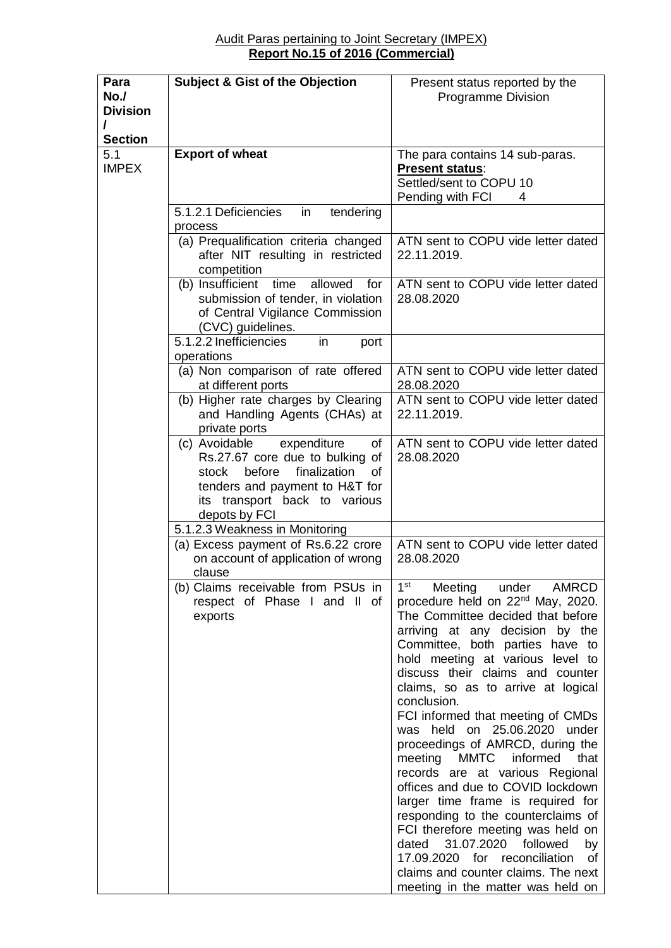| Para<br>No.<br><b>Division</b><br>$\prime$ | <b>Subject &amp; Gist of the Objection</b>                                                                                                                                                         | Present status reported by the<br><b>Programme Division</b>                                                                                                                                                                                                                                                                                                                                                                                                                                                                                                                                                                                                                                                                                                                                                                |
|--------------------------------------------|----------------------------------------------------------------------------------------------------------------------------------------------------------------------------------------------------|----------------------------------------------------------------------------------------------------------------------------------------------------------------------------------------------------------------------------------------------------------------------------------------------------------------------------------------------------------------------------------------------------------------------------------------------------------------------------------------------------------------------------------------------------------------------------------------------------------------------------------------------------------------------------------------------------------------------------------------------------------------------------------------------------------------------------|
| <b>Section</b><br>5.1<br><b>IMPEX</b>      | <b>Export of wheat</b>                                                                                                                                                                             | The para contains 14 sub-paras.<br>Present status:<br>Settled/sent to COPU 10<br>Pending with FCI<br>4                                                                                                                                                                                                                                                                                                                                                                                                                                                                                                                                                                                                                                                                                                                     |
|                                            | 5.1.2.1 Deficiencies<br>tendering<br>in<br>process                                                                                                                                                 |                                                                                                                                                                                                                                                                                                                                                                                                                                                                                                                                                                                                                                                                                                                                                                                                                            |
|                                            | (a) Prequalification criteria changed<br>after NIT resulting in restricted<br>competition                                                                                                          | ATN sent to COPU vide letter dated<br>22.11.2019.                                                                                                                                                                                                                                                                                                                                                                                                                                                                                                                                                                                                                                                                                                                                                                          |
|                                            | (b) Insufficient time<br>allowed<br>for<br>submission of tender, in violation<br>of Central Vigilance Commission<br>(CVC) guidelines.                                                              | ATN sent to COPU vide letter dated<br>28.08.2020                                                                                                                                                                                                                                                                                                                                                                                                                                                                                                                                                                                                                                                                                                                                                                           |
|                                            | 5.1.2.2 Inefficiencies<br>in<br>port<br>operations                                                                                                                                                 |                                                                                                                                                                                                                                                                                                                                                                                                                                                                                                                                                                                                                                                                                                                                                                                                                            |
|                                            | (a) Non comparison of rate offered<br>at different ports                                                                                                                                           | ATN sent to COPU vide letter dated<br>28.08.2020                                                                                                                                                                                                                                                                                                                                                                                                                                                                                                                                                                                                                                                                                                                                                                           |
|                                            | (b) Higher rate charges by Clearing<br>and Handling Agents (CHAs) at<br>private ports                                                                                                              | ATN sent to COPU vide letter dated<br>22.11.2019.                                                                                                                                                                                                                                                                                                                                                                                                                                                                                                                                                                                                                                                                                                                                                                          |
|                                            | (c) Avoidable<br>expenditure<br>οf<br>Rs.27.67 core due to bulking of<br>finalization<br>before<br>stock<br>Ωf<br>tenders and payment to H&T for<br>its transport back to various<br>depots by FCI | ATN sent to COPU vide letter dated<br>28.08.2020                                                                                                                                                                                                                                                                                                                                                                                                                                                                                                                                                                                                                                                                                                                                                                           |
|                                            | 5.1.2.3 Weakness in Monitoring<br>(a) Excess payment of Rs.6.22 crore<br>on account of application of wrong<br>clause                                                                              | ATN sent to COPU vide letter dated<br>28.08.2020                                                                                                                                                                                                                                                                                                                                                                                                                                                                                                                                                                                                                                                                                                                                                                           |
|                                            | (b) Claims receivable from PSUs in<br>respect of Phase I and II of<br>exports                                                                                                                      | $1^{\rm st}$<br>Meeting under<br>AMRCD<br>procedure held on 22 <sup>nd</sup> May, 2020.<br>The Committee decided that before<br>arriving at any decision by the<br>Committee, both parties have to<br>hold meeting at various level to<br>discuss their claims and counter<br>claims, so as to arrive at logical<br>conclusion.<br>FCI informed that meeting of CMDs<br>was held on 25.06.2020 under<br>proceedings of AMRCD, during the<br>meeting MMTC informed<br>that<br>records are at various Regional<br>offices and due to COVID lockdown<br>larger time frame is required for<br>responding to the counterclaims of<br>FCI therefore meeting was held on<br>dated<br>31.07.2020 followed<br>by<br>17.09.2020 for reconciliation<br>0f<br>claims and counter claims. The next<br>meeting in the matter was held on |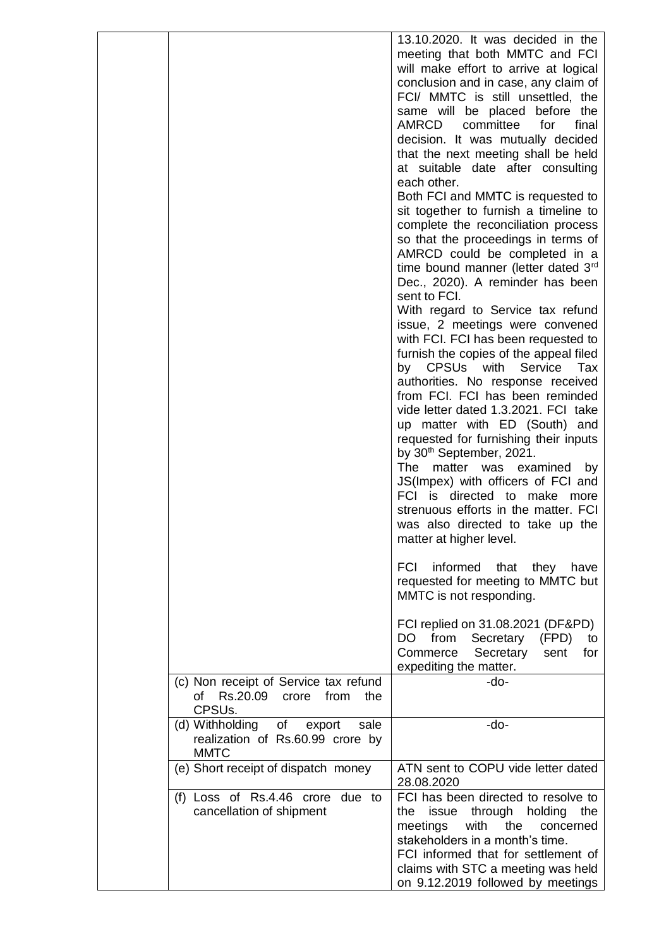|                                                                                            | 13.10.2020. It was decided in the<br>meeting that both MMTC and FCI<br>will make effort to arrive at logical<br>conclusion and in case, any claim of<br>FCI/ MMTC is still unsettled, the<br>same will be placed before the<br>AMRCD<br>committee<br>for<br>final<br>decision. It was mutually decided<br>that the next meeting shall be held<br>at suitable date after consulting<br>each other.                                                                                                                                                                                                                                                                                                             |
|--------------------------------------------------------------------------------------------|---------------------------------------------------------------------------------------------------------------------------------------------------------------------------------------------------------------------------------------------------------------------------------------------------------------------------------------------------------------------------------------------------------------------------------------------------------------------------------------------------------------------------------------------------------------------------------------------------------------------------------------------------------------------------------------------------------------|
|                                                                                            | Both FCI and MMTC is requested to<br>sit together to furnish a timeline to<br>complete the reconciliation process<br>so that the proceedings in terms of<br>AMRCD could be completed in a<br>time bound manner (letter dated 3rd<br>Dec., 2020). A reminder has been                                                                                                                                                                                                                                                                                                                                                                                                                                          |
|                                                                                            | sent to FCI.<br>With regard to Service tax refund<br>issue, 2 meetings were convened<br>with FCI. FCI has been requested to<br>furnish the copies of the appeal filed<br>by CPSUs with<br>Service<br>Tax<br>authorities. No response received<br>from FCI. FCI has been reminded<br>vide letter dated 1.3.2021. FCI take<br>up matter with ED (South) and<br>requested for furnishing their inputs<br>by 30 <sup>th</sup> September, 2021.<br>The<br>matter was examined<br>by<br>JS(Impex) with officers of FCI and<br>FCI is directed to make more<br>strenuous efforts in the matter. FCI<br>was also directed to take up the<br>matter at higher level.<br>informed<br><b>FCI</b><br>that<br>they<br>have |
|                                                                                            | requested for meeting to MMTC but<br>MMTC is not responding.<br>FCI replied on 31.08.2021 (DF&PD)<br>DO -<br>from<br>Secretary<br>(FPD)<br>to                                                                                                                                                                                                                                                                                                                                                                                                                                                                                                                                                                 |
|                                                                                            | Commerce<br>Secretary<br>sent<br>for<br>expediting the matter.                                                                                                                                                                                                                                                                                                                                                                                                                                                                                                                                                                                                                                                |
| (c) Non receipt of Service tax refund<br>of Rs.20.09<br>from<br>crore<br>the<br>CPSUs.     | -do-                                                                                                                                                                                                                                                                                                                                                                                                                                                                                                                                                                                                                                                                                                          |
| (d) Withholding<br>sale<br>of<br>export<br>realization of Rs.60.99 crore by<br><b>MMTC</b> | -do-                                                                                                                                                                                                                                                                                                                                                                                                                                                                                                                                                                                                                                                                                                          |
| (e) Short receipt of dispatch money                                                        | ATN sent to COPU vide letter dated<br>28.08.2020                                                                                                                                                                                                                                                                                                                                                                                                                                                                                                                                                                                                                                                              |
| (f) Loss of Rs.4.46 crore due to<br>cancellation of shipment                               | FCI has been directed to resolve to<br>through<br>holding<br>the<br>the<br>issue<br>with<br>meetings<br>the<br>concerned<br>stakeholders in a month's time.<br>FCI informed that for settlement of<br>claims with STC a meeting was held<br>on 9.12.2019 followed by meetings                                                                                                                                                                                                                                                                                                                                                                                                                                 |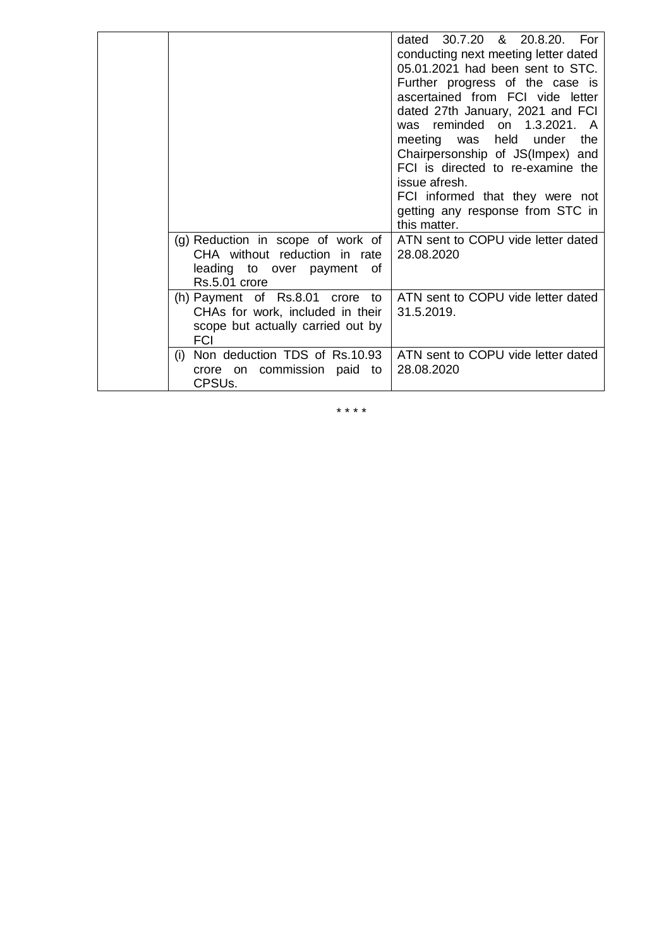|                                                                                                                           | dated 30.7.20 & 20.8.20. For<br>conducting next meeting letter dated<br>05.01.2021 had been sent to STC.<br>Further progress of the case is<br>ascertained from FCI vide letter<br>dated 27th January, 2021 and FCI<br>was reminded on 1.3.2021. A<br>meeting was held<br>the<br>under<br>Chairpersonship of JS(Impex) and<br>FCI is directed to re-examine the<br>issue afresh.<br>FCI informed that they were not |
|---------------------------------------------------------------------------------------------------------------------------|---------------------------------------------------------------------------------------------------------------------------------------------------------------------------------------------------------------------------------------------------------------------------------------------------------------------------------------------------------------------------------------------------------------------|
|                                                                                                                           | getting any response from STC in<br>this matter.                                                                                                                                                                                                                                                                                                                                                                    |
| (g) Reduction in scope of work of<br>CHA without reduction in rate<br>leading to over payment of<br>Rs.5.01 crore         | ATN sent to COPU vide letter dated<br>28.08.2020                                                                                                                                                                                                                                                                                                                                                                    |
| (h) Payment of Rs.8.01 crore<br>to<br>CHAs for work, included in their<br>scope but actually carried out by<br><b>FCI</b> | ATN sent to COPU vide letter dated<br>31.5.2019.                                                                                                                                                                                                                                                                                                                                                                    |
| Non deduction TDS of Rs.10.93<br>(i)<br>commission paid<br>crore<br>to<br>on.<br>CPSUs.                                   | ATN sent to COPU vide letter dated<br>28.08.2020                                                                                                                                                                                                                                                                                                                                                                    |

\* \* \* \*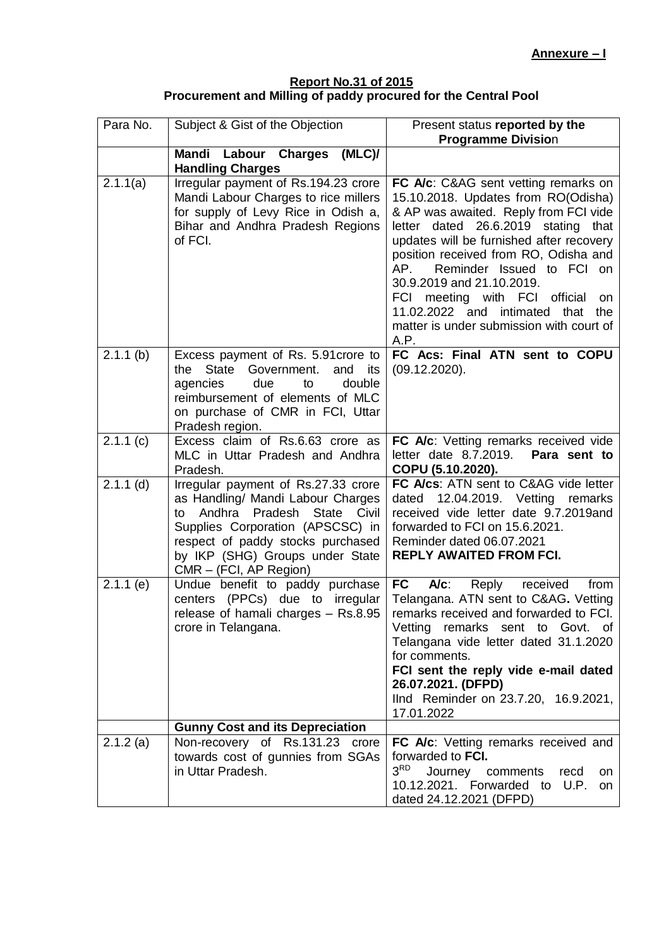#### **Report No.31 of 2015 Procurement and Milling of paddy procured for the Central Pool**

| Para No.              | Subject & Gist of the Objection                                                                                                                                                                                                                                    | Present status reported by the<br><b>Programme Division</b>                                                                                                                                                                                                                                                                                                                                                                                                |
|-----------------------|--------------------------------------------------------------------------------------------------------------------------------------------------------------------------------------------------------------------------------------------------------------------|------------------------------------------------------------------------------------------------------------------------------------------------------------------------------------------------------------------------------------------------------------------------------------------------------------------------------------------------------------------------------------------------------------------------------------------------------------|
|                       | (MLC)<br>Mandi Labour Charges<br><b>Handling Charges</b>                                                                                                                                                                                                           |                                                                                                                                                                                                                                                                                                                                                                                                                                                            |
| $\overline{2}.1.1(a)$ | Irregular payment of Rs.194.23 crore<br>Mandi Labour Charges to rice millers<br>for supply of Levy Rice in Odish a,<br>Bihar and Andhra Pradesh Regions<br>of FCI.                                                                                                 | FC A/c: C&AG sent vetting remarks on<br>15.10.2018. Updates from RO(Odisha)<br>& AP was awaited. Reply from FCI vide<br>letter dated 26.6.2019 stating that<br>updates will be furnished after recovery<br>position received from RO, Odisha and<br>Reminder Issued to FCI on<br>AP.<br>30.9.2019 and 21.10.2019.<br>FCI<br>meeting with FCI official<br>on<br>11.02.2022 and intimated<br>that<br>the<br>matter is under submission with court of<br>A.P. |
| $2.1.1$ (b)           | Excess payment of Rs. 5.91crore to<br><b>State</b><br>Government.<br>the<br>and<br>its<br>agencies<br>due<br>double<br>to<br>reimbursement of elements of MLC<br>on purchase of CMR in FCI, Uttar<br>Pradesh region.                                               | FC Acs: Final ATN sent to COPU<br>(09.12.2020).                                                                                                                                                                                                                                                                                                                                                                                                            |
| 2.1.1(c)              | Excess claim of Rs.6.63 crore as<br>MLC in Uttar Pradesh and Andhra<br>Pradesh.                                                                                                                                                                                    | FC A/c: Vetting remarks received vide<br>letter date 8.7.2019.<br>Para sent to<br>COPU (5.10.2020).                                                                                                                                                                                                                                                                                                                                                        |
| $2.1.1$ (d)           | Irregular payment of Rs.27.33 crore<br>as Handling/ Mandi Labour Charges<br>Andhra<br>Pradesh<br><b>State</b><br>Civil<br>to<br>Supplies Corporation (APSCSC) in<br>respect of paddy stocks purchased<br>by IKP (SHG) Groups under State<br>CMR - (FCI, AP Region) | FC A/cs: ATN sent to C&AG vide letter<br>dated 12.04.2019. Vetting remarks<br>received vide letter date 9.7.2019and<br>forwarded to FCI on 15.6.2021.<br>Reminder dated 06.07.2021<br><b>REPLY AWAITED FROM FCI.</b>                                                                                                                                                                                                                                       |
| $2.1.1$ (e)           | Undue benefit to paddy purchase<br>centers (PPCs) due to irregular<br>release of hamali charges - Rs.8.95<br>crore in Telangana.                                                                                                                                   | FC<br>$A/c$ :<br>Reply<br>received<br>from<br>Telangana. ATN sent to C&AG. Vetting<br>remarks received and forwarded to FCI.<br>Vetting remarks sent to Govt. of<br>Telangana vide letter dated 31.1.2020<br>for comments.<br>FCI sent the reply vide e-mail dated<br>26.07.2021. (DFPD)<br>IInd Reminder on 23.7.20, 16.9.2021,<br>17.01.2022                                                                                                             |
|                       | <b>Gunny Cost and its Depreciation</b>                                                                                                                                                                                                                             |                                                                                                                                                                                                                                                                                                                                                                                                                                                            |
| $2.1.2$ (a)           | Non-recovery of Rs.131.23<br>crore<br>towards cost of gunnies from SGAs<br>in Uttar Pradesh.                                                                                                                                                                       | FC A/c: Vetting remarks received and<br>forwarded to FCI.<br>3 <sup>RD</sup><br>Journey comments<br>recd<br>on<br>10.12.2021. Forwarded to<br>U.P.<br>on.<br>dated 24.12.2021 (DFPD)                                                                                                                                                                                                                                                                       |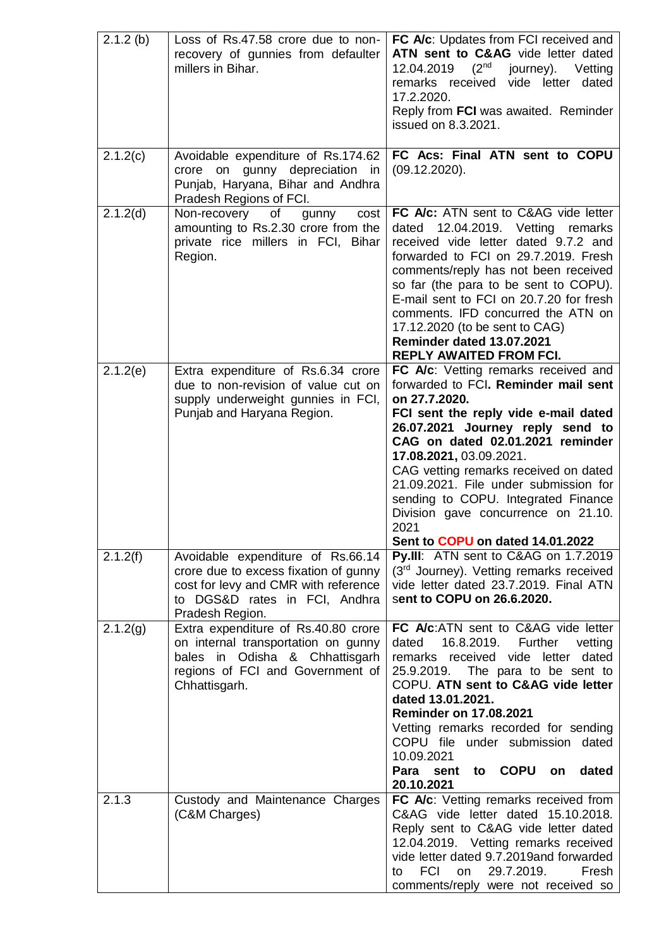| $2.1.2$ (b) | Loss of Rs.47.58 crore due to non-<br>recovery of gunnies from defaulter<br>millers in Bihar.                                                                          | FC A/c: Updates from FCI received and<br>ATN sent to C&AG vide letter dated<br>(2 <sup>nd</sup><br>journey). Vetting<br>12.04.2019<br>remarks received vide letter dated<br>17.2.2020.<br>Reply from FCI was awaited. Reminder<br>issued on 8.3.2021.                                                                                                                                                                                                |
|-------------|------------------------------------------------------------------------------------------------------------------------------------------------------------------------|------------------------------------------------------------------------------------------------------------------------------------------------------------------------------------------------------------------------------------------------------------------------------------------------------------------------------------------------------------------------------------------------------------------------------------------------------|
| 2.1.2(c)    | Avoidable expenditure of Rs.174.62<br>crore on gunny depreciation in<br>Punjab, Haryana, Bihar and Andhra<br>Pradesh Regions of FCI.                                   | FC Acs: Final ATN sent to COPU<br>(09.12.2020).                                                                                                                                                                                                                                                                                                                                                                                                      |
| 2.1.2(d)    | Non-recovery<br>of<br>gunny<br>cost<br>amounting to Rs.2.30 crore from the<br>private rice millers in FCI, Bihar<br>Region.                                            | FC A/c: ATN sent to C&AG vide letter<br>dated 12.04.2019. Vetting<br>remarks<br>received vide letter dated 9.7.2 and<br>forwarded to FCI on 29.7.2019. Fresh<br>comments/reply has not been received<br>so far (the para to be sent to COPU).<br>E-mail sent to FCI on 20.7.20 for fresh<br>comments. IFD concurred the ATN on<br>17.12.2020 (to be sent to CAG)<br>Reminder dated 13.07.2021<br><b>REPLY AWAITED FROM FCI.</b>                      |
| 2.1.2(e)    | Extra expenditure of Rs.6.34 crore<br>due to non-revision of value cut on<br>supply underweight gunnies in FCI,<br>Punjab and Haryana Region.                          | FC A/c: Vetting remarks received and<br>forwarded to FCI. Reminder mail sent<br>on 27.7.2020.<br>FCI sent the reply vide e-mail dated<br>26.07.2021 Journey reply send to<br>CAG on dated 02.01.2021 reminder<br>17.08.2021, 03.09.2021.<br>CAG vetting remarks received on dated<br>21.09.2021. File under submission for<br>sending to COPU. Integrated Finance<br>Division gave concurrence on 21.10.<br>2021<br>Sent to COPU on dated 14.01.2022 |
| 2.1.2(f)    | Avoidable expenditure of Rs.66.14<br>crore due to excess fixation of gunny<br>cost for levy and CMR with reference<br>to DGS&D rates in FCI, Andhra<br>Pradesh Region. | Py.III: ATN sent to C&AG on 1.7.2019<br>(3 <sup>rd</sup> Journey). Vetting remarks received<br>vide letter dated 23.7.2019. Final ATN<br>sent to COPU on 26.6.2020.                                                                                                                                                                                                                                                                                  |
| 2.1.2(g)    | Extra expenditure of Rs.40.80 crore<br>on internal transportation on gunny<br>bales in Odisha & Chhattisgarh<br>regions of FCI and Government of<br>Chhattisgarh.      | FC A/c:ATN sent to C&AG vide letter<br>16.8.2019. Further<br>dated<br>vetting<br>remarks received vide letter dated<br>The para to be sent to<br>25.9.2019.<br>COPU. ATN sent to C&AG vide letter<br>dated 13.01.2021.<br><b>Reminder on 17.08.2021</b><br>Vetting remarks recorded for sending<br>COPU file under submission dated<br>10.09.2021<br><b>COPU</b><br>Para sent<br>dated<br>to<br>on<br>20.10.2021                                     |
| 2.1.3       | Custody and Maintenance Charges<br>(C&M Charges)                                                                                                                       | FC A/c: Vetting remarks received from<br>C&AG vide letter dated 15.10.2018.<br>Reply sent to C&AG vide letter dated<br>12.04.2019. Vetting remarks received<br>vide letter dated 9.7.2019and forwarded<br>29.7.2019.<br><b>FCI</b><br>Fresh<br>on<br>to<br>comments/reply were not received so                                                                                                                                                       |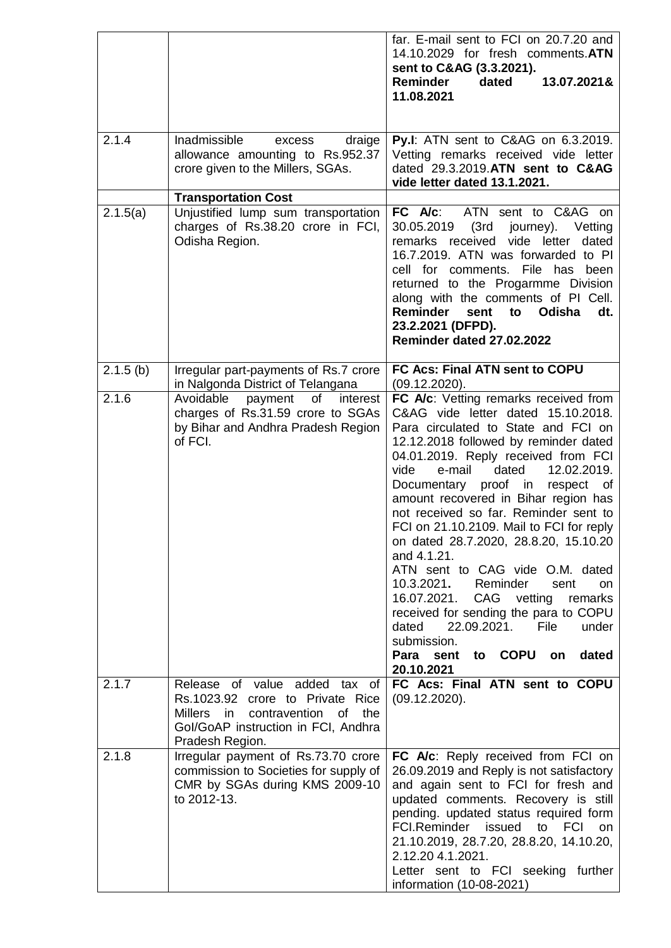|             |                                                                                                                                                                   | far. E-mail sent to FCI on 20.7.20 and<br>14.10.2029 for fresh comments.ATN<br>sent to C&AG (3.3.2021).<br>Reminder<br>dated<br>13.07.2021&<br>11.08.2021                                                                                                                                                                                                                                                                                                                                                                                                                                                                                                                                                                                                   |
|-------------|-------------------------------------------------------------------------------------------------------------------------------------------------------------------|-------------------------------------------------------------------------------------------------------------------------------------------------------------------------------------------------------------------------------------------------------------------------------------------------------------------------------------------------------------------------------------------------------------------------------------------------------------------------------------------------------------------------------------------------------------------------------------------------------------------------------------------------------------------------------------------------------------------------------------------------------------|
| 2.1.4       | Inadmissible<br>draige<br>excess<br>allowance amounting to Rs.952.37<br>crore given to the Millers, SGAs.                                                         | Py.I: ATN sent to C&AG on 6.3.2019.<br>Vetting remarks received vide letter<br>dated 29.3.2019.ATN sent to C&AG<br>vide letter dated 13.1.2021.                                                                                                                                                                                                                                                                                                                                                                                                                                                                                                                                                                                                             |
|             | <b>Transportation Cost</b>                                                                                                                                        |                                                                                                                                                                                                                                                                                                                                                                                                                                                                                                                                                                                                                                                                                                                                                             |
| 2.1.5(a)    | Unjustified lump sum transportation<br>charges of Rs.38.20 crore in FCI,<br>Odisha Region.                                                                        | FC A/c: ATN sent to C&AG on<br>30.05.2019<br>(3rd)<br>journey).<br>Vetting<br>remarks received vide letter<br>dated<br>16.7.2019. ATN was forwarded to PI<br>cell for comments. File has<br>been<br>returned to the Progarmme Division<br>along with the comments of PI Cell.<br><b>Reminder</b><br>Odisha<br>sent<br>to<br>dt.<br>23.2.2021 (DFPD).<br>Reminder dated 27.02.2022                                                                                                                                                                                                                                                                                                                                                                           |
| $2.1.5$ (b) | Irregular part-payments of Rs.7 crore<br>in Nalgonda District of Telangana                                                                                        | FC Acs: Final ATN sent to COPU<br>(09.12.2020).                                                                                                                                                                                                                                                                                                                                                                                                                                                                                                                                                                                                                                                                                                             |
| 2.1.6       | Avoidable<br>of<br>payment<br>interest<br>charges of Rs.31.59 crore to SGAs<br>by Bihar and Andhra Pradesh Region<br>of FCI.                                      | FC A/c: Vetting remarks received from<br>C&AG vide letter dated 15.10.2018.<br>Para circulated to State and FCI on<br>12.12.2018 followed by reminder dated<br>04.01.2019. Reply received from FCI<br>vide<br>dated<br>12.02.2019.<br>e-mail<br>proof in<br>Documentary<br>respect<br>of<br>amount recovered in Bihar region has<br>not received so far. Reminder sent to<br>FCI on 21.10.2109. Mail to FCI for reply<br>on dated 28.7.2020, 28.8.20, 15.10.20<br>and 4.1.21.<br>ATN sent to CAG vide O.M. dated<br>10.3.2021.<br>Reminder<br>sent<br><b>on</b><br>16.07.2021.<br>CAG vetting<br>remarks<br>received for sending the para to COPU<br>22.09.2021. File<br>dated<br>under<br>submission.<br>to COPU<br>dated<br>Para sent<br>on<br>20.10.2021 |
| 2.1.7       | Release of value added tax of<br>Rs.1023.92 crore to Private Rice<br>Millers in<br>contravention of the<br>Gol/GoAP instruction in FCI, Andhra<br>Pradesh Region. | FC Acs: Final ATN sent to COPU<br>(09.12.2020).                                                                                                                                                                                                                                                                                                                                                                                                                                                                                                                                                                                                                                                                                                             |
| 2.1.8       | Irregular payment of Rs.73.70 crore<br>commission to Societies for supply of<br>CMR by SGAs during KMS 2009-10<br>to 2012-13.                                     | <b>FC A/c:</b> Reply received from FCI on<br>26.09.2019 and Reply is not satisfactory<br>and again sent to FCI for fresh and<br>updated comments. Recovery is still<br>pending. updated status required form<br>FCI.Reminder issued<br>to FCI<br>on<br>21.10.2019, 28.7.20, 28.8.20, 14.10.20,<br>2.12.20 4.1.2021.<br>Letter sent to FCI seeking further<br>information (10-08-2021)                                                                                                                                                                                                                                                                                                                                                                       |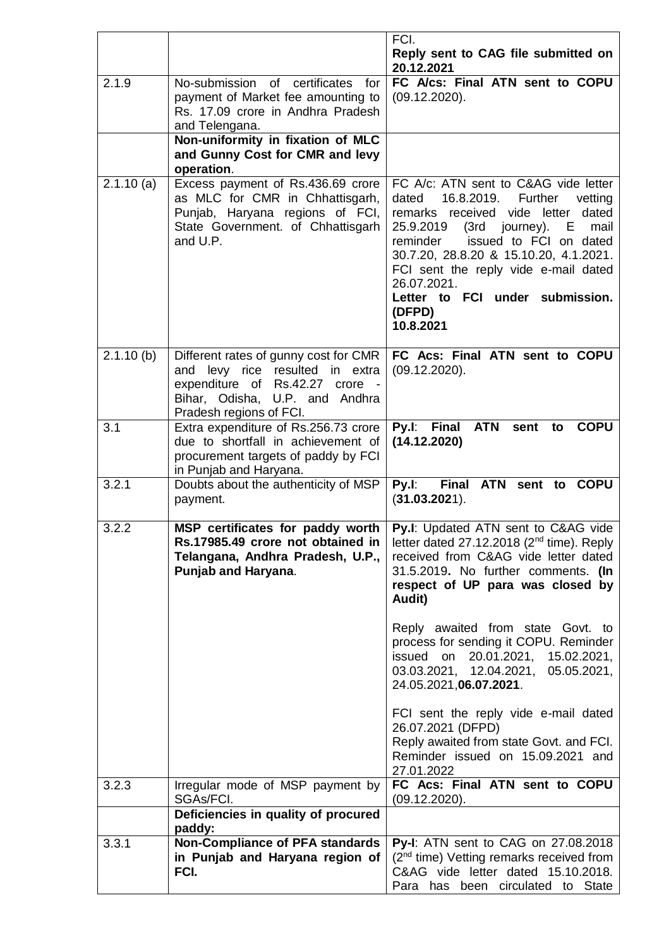|           |                                                                                                                                  | FCI.                                                                                                                                                                                                                                                                                                                      |
|-----------|----------------------------------------------------------------------------------------------------------------------------------|---------------------------------------------------------------------------------------------------------------------------------------------------------------------------------------------------------------------------------------------------------------------------------------------------------------------------|
|           |                                                                                                                                  | Reply sent to CAG file submitted on<br>20.12.2021                                                                                                                                                                                                                                                                         |
| 2.1.9     | No-submission of certificates<br>for                                                                                             | FC A/cs: Final ATN sent to COPU                                                                                                                                                                                                                                                                                           |
|           | payment of Market fee amounting to<br>Rs. 17.09 crore in Andhra Pradesh                                                          | (09.12.2020).                                                                                                                                                                                                                                                                                                             |
|           | and Telengana.                                                                                                                   |                                                                                                                                                                                                                                                                                                                           |
|           | Non-uniformity in fixation of MLC                                                                                                |                                                                                                                                                                                                                                                                                                                           |
|           | and Gunny Cost for CMR and levy<br>operation.                                                                                    |                                                                                                                                                                                                                                                                                                                           |
| 2.1.10(a) | Excess payment of Rs.436.69 crore                                                                                                | FC A/c: ATN sent to C&AG vide letter                                                                                                                                                                                                                                                                                      |
|           | as MLC for CMR in Chhattisgarh,<br>Punjab, Haryana regions of FCI,<br>State Government. of Chhattisgarh<br>and U.P.              | 16.8.2019.<br>dated<br>Further<br>vetting<br>remarks received vide letter dated<br>25.9.2019<br>(3rd journey). E<br>mail<br>issued to FCI on dated<br>reminder<br>30.7.20, 28.8.20 & 15.10.20, 4.1.2021.<br>FCI sent the reply vide e-mail dated<br>26.07.2021.<br>Letter to FCI under submission.<br>(DFPD)<br>10.8.2021 |
| 2.1.10(b) | Different rates of gunny cost for CMR                                                                                            | FC Acs: Final ATN sent to COPU                                                                                                                                                                                                                                                                                            |
|           | and levy rice resulted in extra                                                                                                  | (09.12.2020).                                                                                                                                                                                                                                                                                                             |
|           | expenditure of Rs.42.27<br>crore -<br>Bihar, Odisha, U.P. and Andhra                                                             |                                                                                                                                                                                                                                                                                                                           |
|           | Pradesh regions of FCI.                                                                                                          |                                                                                                                                                                                                                                                                                                                           |
| 3.1       | Extra expenditure of Rs.256.73 crore                                                                                             | <b>ATN</b><br><b>Final</b><br><b>COPU</b><br>Py.<br>sent<br>to                                                                                                                                                                                                                                                            |
|           | due to shortfall in achievement of<br>procurement targets of paddy by FCI                                                        | (14.12.2020)                                                                                                                                                                                                                                                                                                              |
|           | in Punjab and Haryana.                                                                                                           |                                                                                                                                                                                                                                                                                                                           |
| 3.2.1     | Doubts about the authenticity of MSP<br>payment.                                                                                 | Final ATN sent to COPU<br>Py.<br>(31.03.2021).                                                                                                                                                                                                                                                                            |
| 3.2.2     | MSP certificates for paddy worth<br>Rs.17985.49 crore not obtained in<br>Telangana, Andhra Pradesh, U.P.,<br>Punjab and Haryana. | <b>Py.I:</b> Updated ATN sent to C&AG vide<br>letter dated 27.12.2018 ( $2nd$ time). Reply<br>received from C&AG vide letter dated<br>31.5.2019. No further comments. (In<br>respect of UP para was closed by<br>Audit)                                                                                                   |
|           |                                                                                                                                  | Reply awaited from state Govt. to<br>process for sending it COPU. Reminder<br>issued on 20.01.2021, 15.02.2021,<br>03.03.2021, 12.04.2021, 05.05.2021,<br>24.05.2021,06.07.2021.                                                                                                                                          |
|           |                                                                                                                                  | FCI sent the reply vide e-mail dated<br>26.07.2021 (DFPD)<br>Reply awaited from state Govt. and FCI.<br>Reminder issued on 15.09.2021 and<br>27.01.2022                                                                                                                                                                   |
| 3.2.3     | Irregular mode of MSP payment by                                                                                                 | FC Acs: Final ATN sent to COPU                                                                                                                                                                                                                                                                                            |
|           | SGAs/FCI.<br>Deficiencies in quality of procured                                                                                 | (09.12.2020).                                                                                                                                                                                                                                                                                                             |
|           | paddy:                                                                                                                           |                                                                                                                                                                                                                                                                                                                           |
| 3.3.1     | <b>Non-Compliance of PFA standards</b>                                                                                           | Py-I: ATN sent to CAG on 27.08.2018                                                                                                                                                                                                                                                                                       |
|           | in Punjab and Haryana region of<br>FCI.                                                                                          | (2 <sup>nd</sup> time) Vetting remarks received from<br>C&AG vide letter dated 15.10.2018.                                                                                                                                                                                                                                |
|           |                                                                                                                                  | Para has been circulated to State                                                                                                                                                                                                                                                                                         |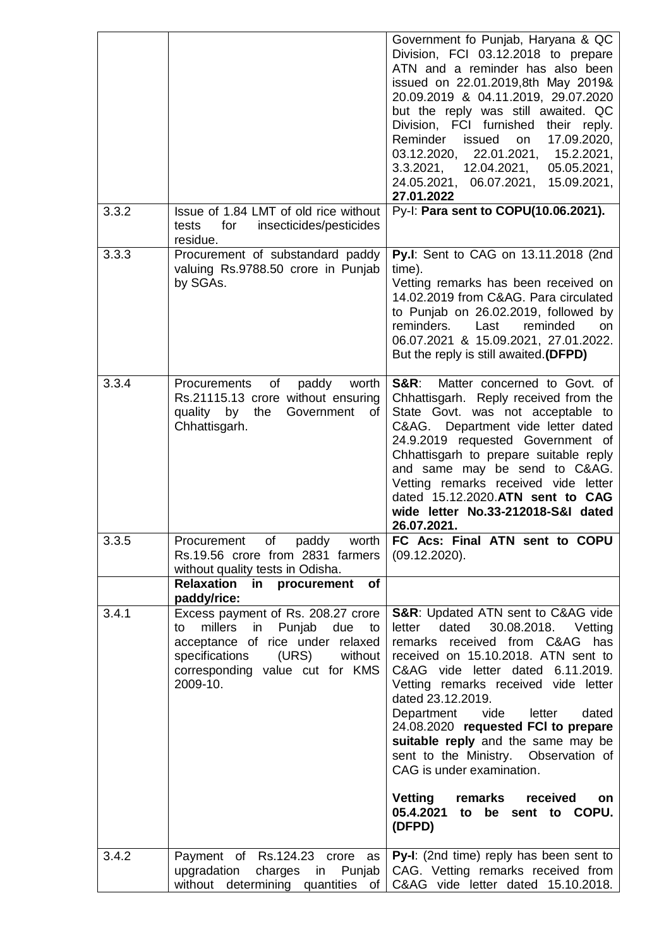|       |                                                                                                                                                                                                  | Government fo Punjab, Haryana & QC<br>Division, FCI 03.12.2018 to prepare<br>ATN and a reminder has also been<br>issued on 22.01.2019,8th May 2019&<br>20.09.2019 & 04.11.2019, 29.07.2020<br>but the reply was still awaited. QC<br>Division, FCI furnished their reply.<br>Reminder issued on<br>17.09.2020,<br>03.12.2020, 22.01.2021, 15.2.2021,<br>3.3.2021, 12.04.2021, 05.05.2021,<br>24.05.2021, 06.07.2021, 15.09.2021,<br>27.01.2022                                                                                                 |
|-------|--------------------------------------------------------------------------------------------------------------------------------------------------------------------------------------------------|------------------------------------------------------------------------------------------------------------------------------------------------------------------------------------------------------------------------------------------------------------------------------------------------------------------------------------------------------------------------------------------------------------------------------------------------------------------------------------------------------------------------------------------------|
| 3.3.2 | Issue of 1.84 LMT of old rice without<br>insecticides/pesticides<br>tests<br>for<br>residue.                                                                                                     | Py-I: Para sent to COPU(10.06.2021).                                                                                                                                                                                                                                                                                                                                                                                                                                                                                                           |
| 3.3.3 | Procurement of substandard paddy<br>valuing Rs.9788.50 crore in Punjab<br>by SGAs.                                                                                                               | Py.I: Sent to CAG on 13.11.2018 (2nd<br>time).<br>Vetting remarks has been received on<br>14.02.2019 from C&AG. Para circulated<br>to Punjab on 26.02.2019, followed by<br>reminders.<br>Last<br>reminded<br>on<br>06.07.2021 & 15.09.2021, 27.01.2022.<br>But the reply is still awaited.(DFPD)                                                                                                                                                                                                                                               |
| 3.3.4 | of<br>paddy<br>worth<br>Procurements<br>Rs.21115.13 crore without ensuring<br>by<br>quality<br>the<br>Government<br>οf<br>Chhattisgarh.                                                          | <b>S&amp;R:</b><br>Matter concerned to Govt. of<br>Chhattisgarh. Reply received from the<br>State Govt. was not acceptable to<br>C&AG. Department vide letter dated<br>24.9.2019 requested Government of<br>Chhattisgarh to prepare suitable reply<br>and same may be send to C&AG.<br>Vetting remarks received vide letter<br>dated 15.12.2020.ATN sent to CAG<br>wide letter No.33-212018-S&I dated<br>26.07.2021.                                                                                                                           |
| 3.3.5 | Procurement of paddy worth<br>Rs.19.56 crore from 2831 farmers<br>without quality tests in Odisha.                                                                                               | FC Acs: Final ATN sent to COPU<br>(09.12.2020).                                                                                                                                                                                                                                                                                                                                                                                                                                                                                                |
|       | Relaxation in procurement of<br>paddy/rice:                                                                                                                                                      |                                                                                                                                                                                                                                                                                                                                                                                                                                                                                                                                                |
| 3.4.1 | Excess payment of Rs. 208.27 crore<br>millers in Punjab due<br>to<br>to<br>acceptance of rice under relaxed<br>specifications<br>(URS)<br>without<br>corresponding value cut for KMS<br>2009-10. | S&R: Updated ATN sent to C&AG vide<br>dated<br>30.08.2018. Vetting<br>letter<br>remarks received from C&AG<br>has<br>received on 15.10.2018. ATN sent to<br>C&AG vide letter dated 6.11.2019.<br>Vetting remarks received vide letter<br>dated 23.12.2019.<br>letter<br>Department<br>vide<br>dated<br>24.08.2020 requested FCI to prepare<br>suitable reply and the same may be<br>sent to the Ministry. Observation of<br>CAG is under examination.<br>Vetting<br>remarks<br>received<br>on<br>05.4.2021<br>be sent to COPU.<br>to<br>(DFPD) |
| 3.4.2 | Payment of Rs.124.23 crore as<br>upgradation<br>charges in<br>Punjab<br>without determining quantities of                                                                                        | Py-I: (2nd time) reply has been sent to<br>CAG. Vetting remarks received from<br>C&AG vide letter dated 15.10.2018.                                                                                                                                                                                                                                                                                                                                                                                                                            |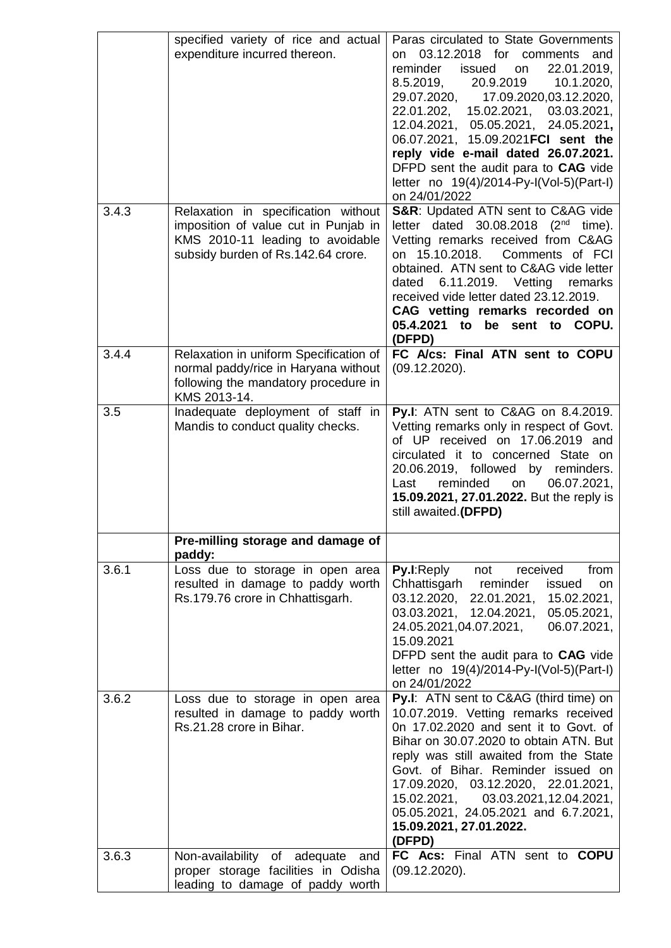|       | specified variety of rice and actual<br>expenditure incurred thereon.                                                                                 | Paras circulated to State Governments<br>on 03.12.2018 for comments<br>and<br>reminder<br>issued<br>22.01.2019,<br><b>on</b><br>20.9.2019<br>8.5.2019,<br>10.1.2020,<br>29.07.2020,<br>17.09.2020,03.12.2020,<br>22.01.202, 15.02.2021, 03.03.2021,<br>12.04.2021, 05.05.2021, 24.05.2021,<br>06.07.2021, 15.09.2021FCI sent the<br>reply vide e-mail dated 26.07.2021.<br>DFPD sent the audit para to CAG vide<br>letter no 19(4)/2014-Py-I(Vol-5)(Part-I)<br>on 24/01/2022 |
|-------|-------------------------------------------------------------------------------------------------------------------------------------------------------|------------------------------------------------------------------------------------------------------------------------------------------------------------------------------------------------------------------------------------------------------------------------------------------------------------------------------------------------------------------------------------------------------------------------------------------------------------------------------|
| 3.4.3 | Relaxation in specification without<br>imposition of value cut in Punjab in<br>KMS 2010-11 leading to avoidable<br>subsidy burden of Rs.142.64 crore. | S&R: Updated ATN sent to C&AG vide<br>letter dated $30.08.2018$ (2 <sup>nd</sup><br>time).<br>Vetting remarks received from C&AG<br>on 15.10.2018.<br>Comments of FCI<br>obtained. ATN sent to C&AG vide letter<br>6.11.2019. Vetting remarks<br>dated<br>received vide letter dated 23.12.2019.<br>CAG vetting remarks recorded on<br>05.4.2021 to be sent to COPU.<br>(DFPD)                                                                                               |
| 3.4.4 | Relaxation in uniform Specification of<br>normal paddy/rice in Haryana without<br>following the mandatory procedure in<br>KMS 2013-14.                | FC A/cs: Final ATN sent to COPU<br>(09.12.2020).                                                                                                                                                                                                                                                                                                                                                                                                                             |
| 3.5   | Inadequate deployment of staff in<br>Mandis to conduct quality checks.                                                                                | Py.I: ATN sent to C&AG on 8.4.2019.<br>Vetting remarks only in respect of Govt.<br>of UP received on 17.06.2019 and<br>circulated it to concerned State on<br>20.06.2019, followed by reminders.<br>reminded<br>06.07.2021,<br>Last<br>on<br>15.09.2021, 27.01.2022. But the reply is<br>still awaited.(DFPD)                                                                                                                                                                |
|       | Pre-milling storage and damage of<br>paddy:                                                                                                           |                                                                                                                                                                                                                                                                                                                                                                                                                                                                              |
| 3.6.1 | Loss due to storage in open area<br>resulted in damage to paddy worth<br>Rs.179.76 crore in Chhattisgarh.                                             | <b>Py.I:Reply</b><br>not<br>received<br>from<br>Chhattisgarh<br>reminder<br>issued<br>on<br>03.12.2020, 22.01.2021,<br>15.02.2021,<br>03.03.2021, 12.04.2021,<br>05.05.2021,<br>24.05.2021,04.07.2021,<br>06.07.2021,<br>15.09.2021<br>DFPD sent the audit para to CAG vide<br>letter no 19(4)/2014-Py-I(Vol-5)(Part-I)<br>on 24/01/2022                                                                                                                                     |
| 3.6.2 | Loss due to storage in open area<br>resulted in damage to paddy worth<br>Rs.21.28 crore in Bihar.                                                     | Py.I: ATN sent to C&AG (third time) on<br>10.07.2019. Vetting remarks received<br>0n 17.02.2020 and sent it to Govt. of<br>Bihar on 30.07.2020 to obtain ATN. But<br>reply was still awaited from the State<br>Govt. of Bihar. Reminder issued on<br>17.09.2020, 03.12.2020, 22.01.2021,<br>03.03.2021,12.04.2021,<br>15.02.2021,<br>05.05.2021, 24.05.2021 and 6.7.2021,<br>15.09.2021, 27.01.2022.<br>(DFPD)                                                               |
| 3.6.3 | Non-availability of adequate<br>and<br>proper storage facilities in Odisha                                                                            | FC Acs: Final ATN sent to COPU<br>(09.12.2020).                                                                                                                                                                                                                                                                                                                                                                                                                              |
|       | leading to damage of paddy worth                                                                                                                      |                                                                                                                                                                                                                                                                                                                                                                                                                                                                              |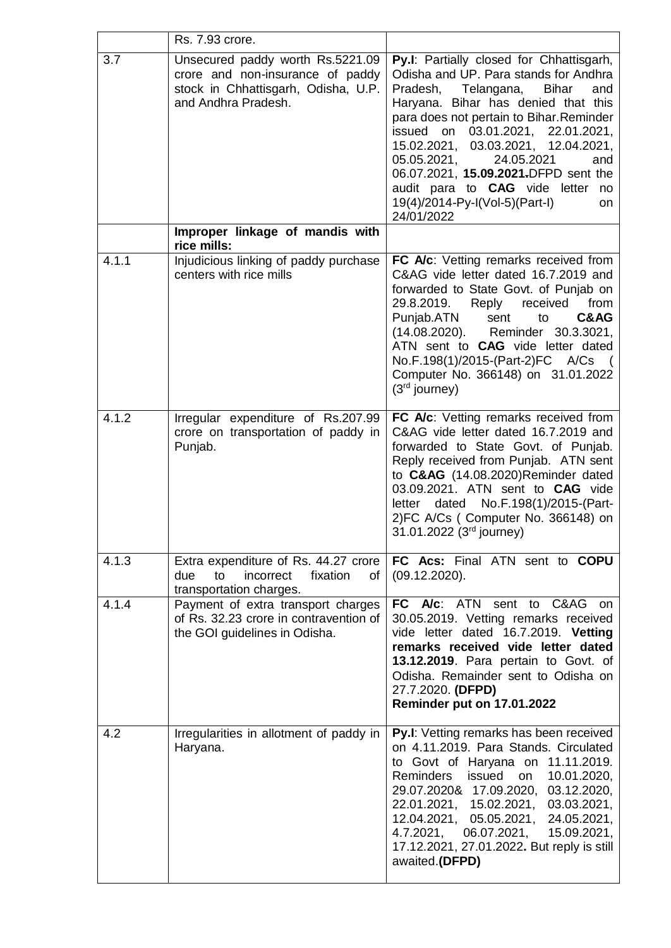|       | Rs. 7.93 crore.                                                                                                                    |                                                                                                                                                                                                                                                                                                                                                                                                                                                                                      |
|-------|------------------------------------------------------------------------------------------------------------------------------------|--------------------------------------------------------------------------------------------------------------------------------------------------------------------------------------------------------------------------------------------------------------------------------------------------------------------------------------------------------------------------------------------------------------------------------------------------------------------------------------|
| 3.7   | Unsecured paddy worth Rs.5221.09<br>crore and non-insurance of paddy<br>stock in Chhattisgarh, Odisha, U.P.<br>and Andhra Pradesh. | Py.I: Partially closed for Chhattisgarh,<br>Odisha and UP. Para stands for Andhra<br>Pradesh,<br>Telangana,<br><b>Bihar</b><br>and<br>Haryana. Bihar has denied that this<br>para does not pertain to Bihar. Reminder<br>issued<br>on 03.01.2021, 22.01.2021,<br>03.03.2021, 12.04.2021,<br>15.02.2021,<br>05.05.2021,<br>24.05.2021<br>and<br>06.07.2021, 15.09.2021-DFPD sent the<br>audit para to <b>CAG</b> vide letter no<br>19(4)/2014-Py-I(Vol-5)(Part-I)<br>on<br>24/01/2022 |
|       | Improper linkage of mandis with<br>rice mills:                                                                                     |                                                                                                                                                                                                                                                                                                                                                                                                                                                                                      |
| 4.1.1 | Injudicious linking of paddy purchase<br>centers with rice mills                                                                   | FC A/c: Vetting remarks received from<br>C&AG vide letter dated 16.7.2019 and<br>forwarded to State Govt. of Punjab on<br>29.8.2019. Reply received<br>from<br>C&AG<br>Punjab.ATN<br>sent<br>to<br>(14.08.2020). Reminder 30.3.3021,<br>ATN sent to CAG vide letter dated<br>No.F.198(1)/2015-(Part-2)FC A/Cs<br>Computer No. 366148) on 31.01.2022<br>$(3rd$ journey)                                                                                                               |
| 4.1.2 | Irregular expenditure of Rs.207.99<br>crore on transportation of paddy in<br>Punjab.                                               | FC A/c: Vetting remarks received from<br>C&AG vide letter dated 16.7.2019 and<br>forwarded to State Govt. of Punjab.<br>Reply received from Punjab. ATN sent<br>to C&AG (14.08.2020)Reminder dated<br>03.09.2021. ATN sent to CAG vide<br>dated No.F.198(1)/2015-(Part-<br>letter<br>2)FC A/Cs ( Computer No. 366148) on<br>31.01.2022 (3 <sup>rd</sup> journey)                                                                                                                     |
| 4.1.3 | Extra expenditure of Rs. 44.27 crore<br>to<br>incorrect<br>fixation<br>due<br>οf<br>transportation charges.                        | FC Acs: Final ATN sent to COPU<br>(09.12.2020).                                                                                                                                                                                                                                                                                                                                                                                                                                      |
| 4.1.4 | Payment of extra transport charges<br>of Rs. 32.23 crore in contravention of<br>the GOI guidelines in Odisha.                      | FC A/c: ATN sent to C&AG<br><sub>on</sub><br>30.05.2019. Vetting remarks received<br>vide letter dated 16.7.2019. Vetting<br>remarks received vide letter dated<br>13.12.2019. Para pertain to Govt. of<br>Odisha. Remainder sent to Odisha on<br>27.7.2020. (DFPD)<br>Reminder put on 17.01.2022                                                                                                                                                                                    |
| 4.2   | Irregularities in allotment of paddy in<br>Haryana.                                                                                | Py.I: Vetting remarks has been received<br>on 4.11.2019. Para Stands. Circulated<br>to Govt of Haryana on 11.11.2019.<br>Reminders<br>issued<br>10.01.2020,<br>on<br>29.07.2020& 17.09.2020, 03.12.2020,<br>22.01.2021, 15.02.2021, 03.03.2021,<br>12.04.2021, 05.05.2021, 24.05.2021,<br>4.7.2021, 06.07.2021, 15.09.2021,<br>17.12.2021, 27.01.2022. But reply is still<br>awaited.(DFPD)                                                                                          |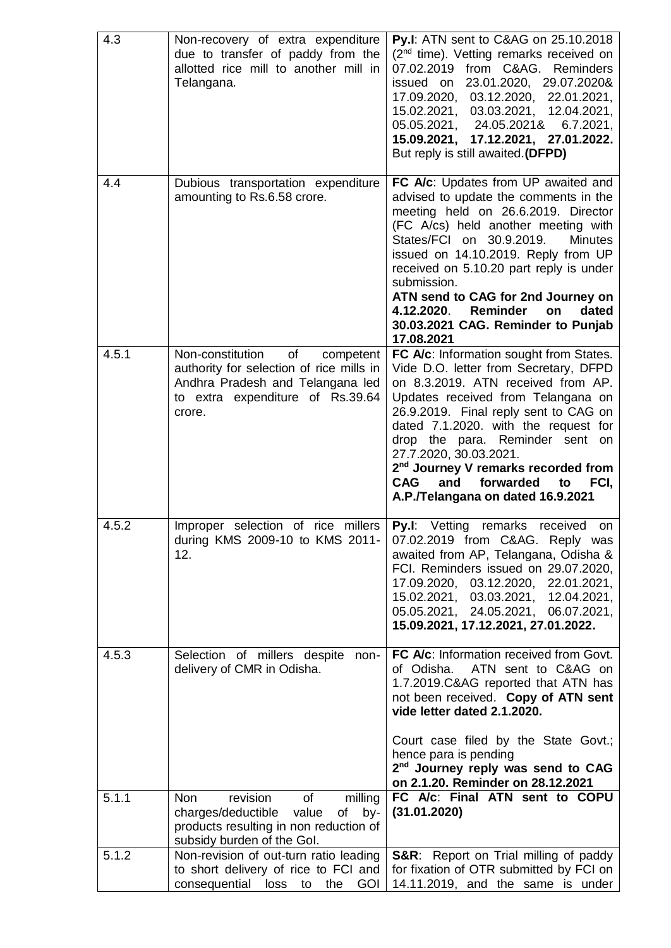| 4.3   | Non-recovery of extra expenditure<br>due to transfer of paddy from the<br>allotted rice mill to another mill in<br>Telangana.                                     | Py.I: ATN sent to C&AG on 25.10.2018<br>(2 <sup>nd</sup> time). Vetting remarks received on<br>07.02.2019 from C&AG. Reminders<br>issued on 23.01.2020, 29.07.2020&<br>17.09.2020, 03.12.2020, 22.01.2021,<br>15.02.2021, 03.03.2021, 12.04.2021,<br>05.05.2021, 24.05.2021&<br>6.7.2021,<br>15.09.2021, 17.12.2021, 27.01.2022.<br>But reply is still awaited.(DFPD)                                                                               |
|-------|-------------------------------------------------------------------------------------------------------------------------------------------------------------------|-----------------------------------------------------------------------------------------------------------------------------------------------------------------------------------------------------------------------------------------------------------------------------------------------------------------------------------------------------------------------------------------------------------------------------------------------------|
| 4.4   | Dubious transportation expenditure<br>amounting to Rs.6.58 crore.                                                                                                 | FC A/c: Updates from UP awaited and<br>advised to update the comments in the<br>meeting held on 26.6.2019. Director<br>(FC A/cs) held another meeting with<br>States/FCI on 30.9.2019.<br><b>Minutes</b><br>issued on 14.10.2019. Reply from UP<br>received on 5.10.20 part reply is under<br>submission.<br>ATN send to CAG for 2nd Journey on<br><b>Reminder</b><br>dated<br>4.12.2020.<br>on<br>30.03.2021 CAG. Reminder to Punjab<br>17.08.2021 |
| 4.5.1 | Non-constitution<br>of<br>competent<br>authority for selection of rice mills in<br>Andhra Pradesh and Telangana led<br>to extra expenditure of Rs.39.64<br>crore. | FC A/c: Information sought from States.<br>Vide D.O. letter from Secretary, DFPD<br>on 8.3.2019. ATN received from AP.<br>Updates received from Telangana on<br>26.9.2019. Final reply sent to CAG on<br>dated 7.1.2020. with the request for<br>drop the para. Reminder sent on<br>27.7.2020, 30.03.2021.<br>2 <sup>nd</sup> Journey V remarks recorded from<br><b>CAG</b><br>and forwarded to<br>FCI,<br>A.P./Telangana on dated 16.9.2021        |
| 4.5.2 | Improper selection of rice millers<br>during KMS 2009-10 to KMS 2011-<br>12.                                                                                      | Py.I:<br>Vetting remarks<br>received<br>on<br>07.02.2019 from C&AG. Reply was<br>awaited from AP, Telangana, Odisha &<br>FCI. Reminders issued on 29.07.2020,<br>17.09.2020, 03.12.2020, 22.01.2021,<br>15.02.2021, 03.03.2021, 12.04.2021,<br>05.05.2021, 24.05.2021, 06.07.2021,<br>15.09.2021, 17.12.2021, 27.01.2022.                                                                                                                           |
| 4.5.3 | Selection of millers despite<br>non-<br>delivery of CMR in Odisha.                                                                                                | FC A/c: Information received from Govt.<br>ATN sent to C&AG on<br>of Odisha.<br>1.7.2019.C&AG reported that ATN has<br>not been received. Copy of ATN sent<br>vide letter dated 2.1.2020.<br>Court case filed by the State Govt.;<br>hence para is pending<br>2 <sup>nd</sup> Journey reply was send to CAG<br>on 2.1.20. Reminder on 28.12.2021                                                                                                    |
| 5.1.1 | revision<br>of<br>milling<br>Non<br>charges/deductible<br>value<br>of<br>by-<br>products resulting in non reduction of<br>subsidy burden of the Gol.              | FC A/c: Final ATN sent to COPU<br>(31.01.2020)                                                                                                                                                                                                                                                                                                                                                                                                      |
| 5.1.2 | Non-revision of out-turn ratio leading<br>to short delivery of rice to FCI and<br>consequential loss<br>to<br>the<br><b>GOI</b>                                   | <b>S&amp;R:</b> Report on Trial milling of paddy<br>for fixation of OTR submitted by FCI on<br>14.11.2019, and the same is under                                                                                                                                                                                                                                                                                                                    |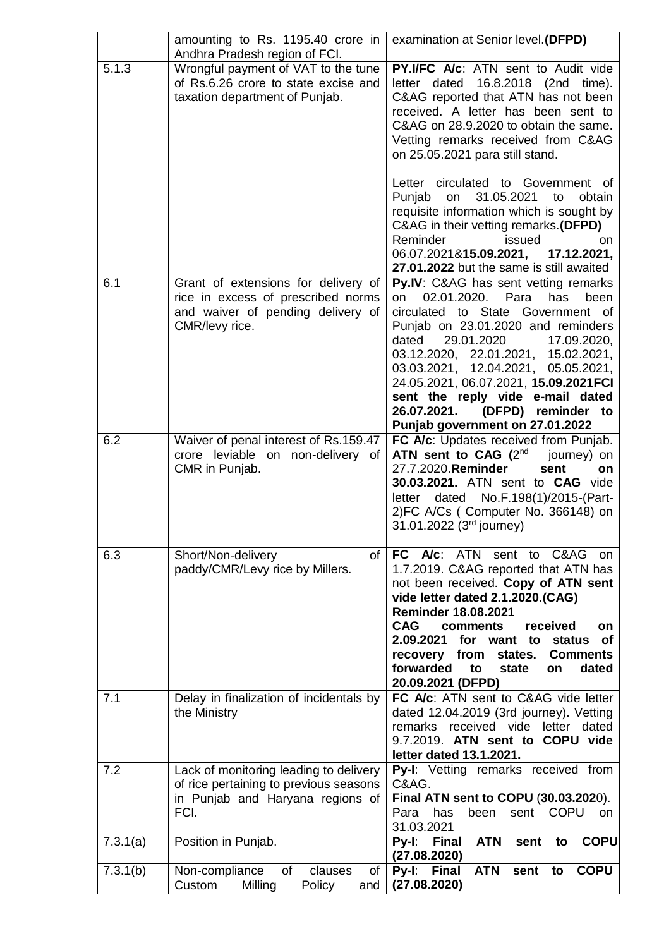|          | amounting to Rs. 1195.40 crore in<br>Andhra Pradesh region of FCI.                                                               | examination at Senior level.(DFPD)                                                                                                                                                                                                                                                                                                                                                                                                   |
|----------|----------------------------------------------------------------------------------------------------------------------------------|--------------------------------------------------------------------------------------------------------------------------------------------------------------------------------------------------------------------------------------------------------------------------------------------------------------------------------------------------------------------------------------------------------------------------------------|
| 5.1.3    | Wrongful payment of VAT to the tune<br>of Rs.6.26 crore to state excise and<br>taxation department of Punjab.                    | <b>PY.I/FC A/c:</b> ATN sent to Audit vide<br>letter dated 16.8.2018 (2nd time).<br>C&AG reported that ATN has not been<br>received. A letter has been sent to<br>C&AG on 28.9.2020 to obtain the same.<br>Vetting remarks received from C&AG                                                                                                                                                                                        |
|          |                                                                                                                                  | on 25.05.2021 para still stand.<br>Letter circulated to Government of<br>31.05.2021<br>Punjab<br>on<br>obtain<br>to<br>requisite information which is sought by<br>C&AG in their vetting remarks. (DFPD)<br>Reminder<br>issued<br>on.<br>06.07.2021&15.09.2021, 17.12.2021,<br>27.01.2022 but the same is still awaited                                                                                                              |
| 6.1      | Grant of extensions for delivery of<br>rice in excess of prescribed norms<br>and waiver of pending delivery of<br>CMR/levy rice. | Py.IV: C&AG has sent vetting remarks<br>02.01.2020.<br>Para<br>has<br>been<br>on<br>circulated to State Government of<br>Punjab on 23.01.2020 and reminders<br>29.01.2020<br>dated<br>17.09.2020,<br>03.12.2020, 22.01.2021, 15.02.2021,<br>03.03.2021, 12.04.2021, 05.05.2021,<br>24.05.2021, 06.07.2021, 15.09.2021FCI<br>sent the reply vide e-mail dated<br>26.07.2021.<br>(DFPD) reminder to<br>Punjab government on 27.01.2022 |
| 6.2      | Waiver of penal interest of Rs.159.47<br>crore leviable on non-delivery of<br>CMR in Punjab.                                     | FC A/c: Updates received from Punjab.<br>ATN sent to CAG $(2^{nd}$ journey) on<br>27.7.2020. Reminder<br>sent<br><b>on</b><br>30.03.2021. ATN sent to CAG vide<br>letter dated No.F.198(1)/2015-(Part-<br>2)FC A/Cs (Computer No. 366148) on<br>31.01.2022 (3 <sup>rd</sup> journey)                                                                                                                                                 |
| 6.3      | Short/Non-delivery<br>of<br>paddy/CMR/Levy rice by Millers.                                                                      | FC A/c: ATN<br>sent to<br>C&AG<br>on.<br>1.7.2019. C&AG reported that ATN has<br>not been received. Copy of ATN sent<br>vide letter dated 2.1.2020.(CAG)<br><b>Reminder 18.08.2021</b><br><b>CAG</b><br>received<br>comments<br>on<br>2.09.2021<br>for<br>want to<br>status<br>οf<br>recovery from<br>states.<br><b>Comments</b><br>forwarded<br>state<br>dated<br>to<br>on<br>20.09.2021 (DFPD)                                     |
| 7.1      | Delay in finalization of incidentals by<br>the Ministry                                                                          | FC A/c: ATN sent to C&AG vide letter<br>dated 12.04.2019 (3rd journey). Vetting<br>remarks received vide letter dated<br>9.7.2019. ATN sent to COPU vide<br>letter dated 13.1.2021.                                                                                                                                                                                                                                                  |
| 7.2      | Lack of monitoring leading to delivery<br>of rice pertaining to previous seasons<br>in Punjab and Haryana regions of<br>FCI.     | <b>Py-I:</b> Vetting remarks received from<br>C&AG.<br>Final ATN sent to COPU (30.03.2020).<br><b>COPU</b><br>Para<br>has<br>been<br>sent<br>on<br>31.03.2021                                                                                                                                                                                                                                                                        |
| 7.3.1(a) | Position in Punjab.                                                                                                              | <b>ATN</b><br><b>COPU</b><br>Py-I: Final<br>sent<br>to<br>(27.08.2020)                                                                                                                                                                                                                                                                                                                                                               |
| 7.3.1(b) | Non-compliance<br>clauses<br>of<br>of<br>Custom<br>Milling<br>Policy<br>and                                                      | Py-I: Final<br><b>ATN</b><br><b>COPU</b><br>sent<br>to<br>(27.08.2020)                                                                                                                                                                                                                                                                                                                                                               |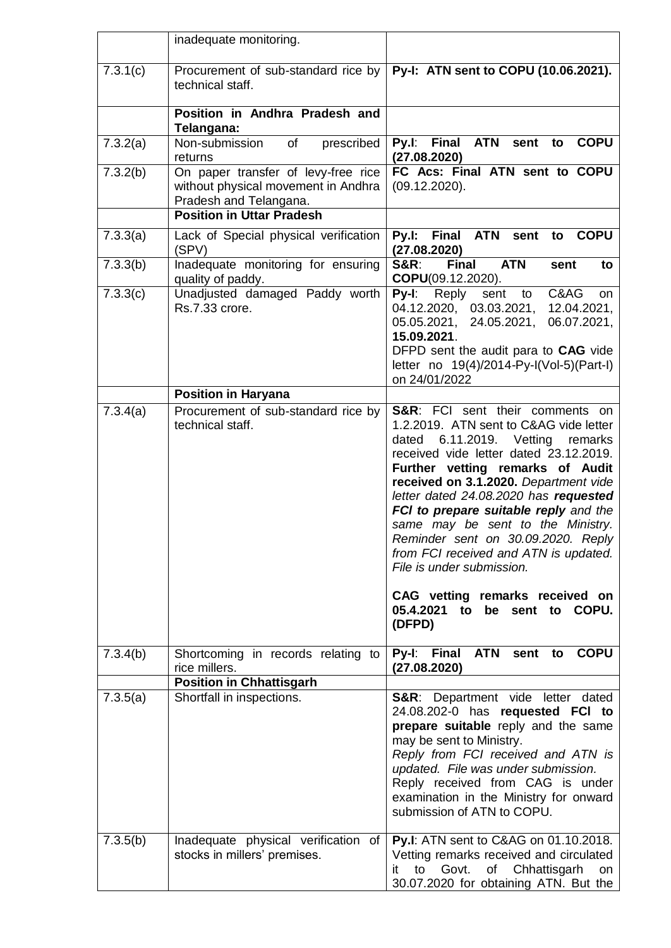|                       | inadequate monitoring.                                                                                                                   |                                                                                                                                                                                                                                                                                                                                                                                                                                                                                                                                                                           |
|-----------------------|------------------------------------------------------------------------------------------------------------------------------------------|---------------------------------------------------------------------------------------------------------------------------------------------------------------------------------------------------------------------------------------------------------------------------------------------------------------------------------------------------------------------------------------------------------------------------------------------------------------------------------------------------------------------------------------------------------------------------|
| $\overline{7}.3.1(c)$ | Procurement of sub-standard rice by<br>technical staff.                                                                                  | Py-I: ATN sent to COPU (10.06.2021).                                                                                                                                                                                                                                                                                                                                                                                                                                                                                                                                      |
|                       | Position in Andhra Pradesh and<br>Telangana:                                                                                             |                                                                                                                                                                                                                                                                                                                                                                                                                                                                                                                                                                           |
| 7.3.2(a)              | Non-submission<br>of<br>prescribed<br>returns                                                                                            | <b>ATN</b><br>Final<br><b>COPU</b><br>Py.<br>sent<br>to<br>(27.08.2020)                                                                                                                                                                                                                                                                                                                                                                                                                                                                                                   |
| 7.3.2(b)              | On paper transfer of levy-free rice<br>without physical movement in Andhra<br>Pradesh and Telangana.<br><b>Position in Uttar Pradesh</b> | FC Acs: Final ATN sent to COPU<br>(09.12.2020).                                                                                                                                                                                                                                                                                                                                                                                                                                                                                                                           |
| 7.3.3(a)              | Lack of Special physical verification<br>(SPV)                                                                                           | <b>ATN</b><br><b>Final</b><br><b>COPU</b><br>Py.I:<br>sent<br>to<br>(27.08.2020)                                                                                                                                                                                                                                                                                                                                                                                                                                                                                          |
| 7.3.3(b)              | Inadequate monitoring for ensuring<br>quality of paddy.                                                                                  | $S\&R$ :<br><b>ATN</b><br><b>Final</b><br>sent<br>to<br>COPU(09.12.2020).                                                                                                                                                                                                                                                                                                                                                                                                                                                                                                 |
| 7.3.3(c)              | Unadjusted damaged Paddy worth<br>Rs.7.33 crore.                                                                                         | $Py-I:$<br>C&AG<br>Reply<br>sent<br>to<br><b>on</b><br>04.12.2020, 03.03.2021,<br>12.04.2021,<br>06.07.2021,<br>05.05.2021, 24.05.2021,<br>15.09.2021.<br>DFPD sent the audit para to CAG vide<br>letter no 19(4)/2014-Py-I(Vol-5)(Part-I)<br>on 24/01/2022                                                                                                                                                                                                                                                                                                               |
|                       | <b>Position in Haryana</b>                                                                                                               |                                                                                                                                                                                                                                                                                                                                                                                                                                                                                                                                                                           |
| 7.3.4(a)              | Procurement of sub-standard rice by<br>technical staff.                                                                                  | <b>S&amp;R:</b> FCI sent their comments on<br>1.2.2019. ATN sent to C&AG vide letter<br>6.11.2019. Vetting<br>dated<br>remarks<br>received vide letter dated 23.12.2019.<br>Further vetting remarks of Audit<br>received on 3.1.2020. Department vide<br>letter dated 24.08.2020 has requested<br>FCI to prepare suitable reply and the<br>same may be sent to the Ministry.<br>Reminder sent on 30.09.2020. Reply<br>from FCI received and ATN is updated.<br>File is under submission.<br>CAG vetting remarks received on<br>05.4.2021<br>to be sent to COPU.<br>(DFPD) |
| 7.3.4(b)              | Shortcoming in records relating to<br>rice millers.<br><b>Position in Chhattisgarh</b>                                                   | <b>ATN</b><br>Py-I: Final<br><b>COPU</b><br>sent<br>to<br>(27.08.2020)                                                                                                                                                                                                                                                                                                                                                                                                                                                                                                    |
| 7.3.5(a)              | Shortfall in inspections.                                                                                                                | <b>S&amp;R:</b> Department vide letter dated<br>24.08.202-0 has requested FCI to<br>prepare suitable reply and the same<br>may be sent to Ministry.<br>Reply from FCI received and ATN is<br>updated. File was under submission.<br>Reply received from CAG is under<br>examination in the Ministry for onward<br>submission of ATN to COPU.                                                                                                                                                                                                                              |
| 7.3.5(b)              | Inadequate physical verification of<br>stocks in millers' premises.                                                                      | Py.I: ATN sent to C&AG on 01.10.2018.<br>Vetting remarks received and circulated<br>Govt.<br>of Chhattisgarh<br>to<br>it.<br>on<br>30.07.2020 for obtaining ATN. But the                                                                                                                                                                                                                                                                                                                                                                                                  |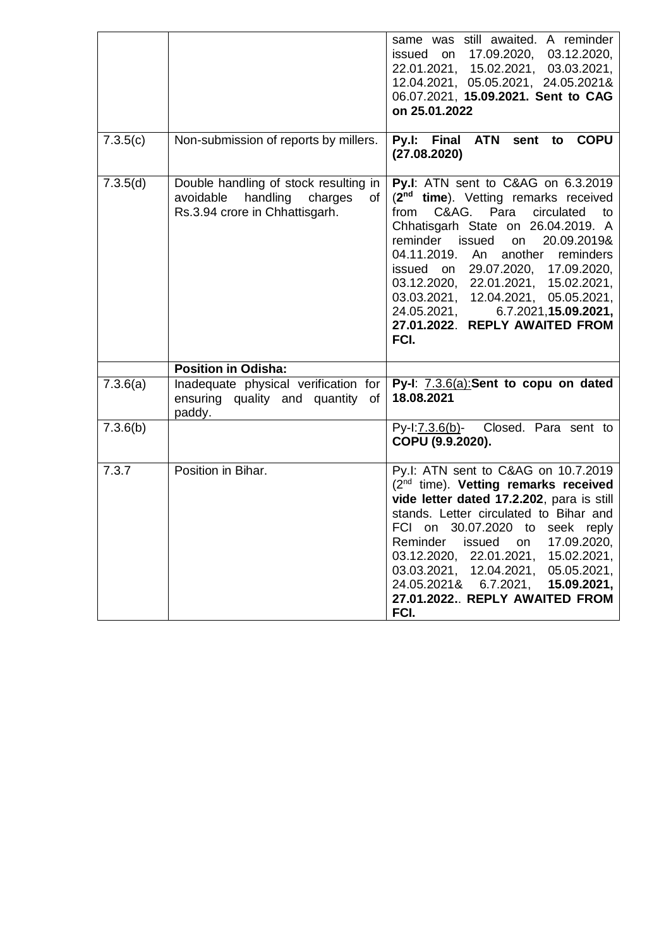|          |                                                                                                             | same was still awaited. A reminder<br>issued on 17.09.2020, 03.12.2020,<br>22.01.2021, 15.02.2021, 03.03.2021,<br>12.04.2021, 05.05.2021, 24.05.2021&<br>06.07.2021, 15.09.2021. Sent to CAG<br>on 25.01.2022                                                                                                                                                                                                                                             |
|----------|-------------------------------------------------------------------------------------------------------------|-----------------------------------------------------------------------------------------------------------------------------------------------------------------------------------------------------------------------------------------------------------------------------------------------------------------------------------------------------------------------------------------------------------------------------------------------------------|
| 7.3.5(c) | Non-submission of reports by millers.                                                                       | Py.I: Final ATN sent to<br><b>COPU</b><br>(27.08.2020)                                                                                                                                                                                                                                                                                                                                                                                                    |
| 7.3.5(d) | Double handling of stock resulting in<br>avoidable handling charges<br>of<br>Rs.3.94 crore in Chhattisgarh. | Py.I: ATN sent to C&AG on 6.3.2019<br>(2 <sup>nd</sup> time). Vetting remarks received<br>C&AG. Para circulated<br>to<br>from<br>Chhatisgarh State on 26.04.2019. A<br>reminder<br>20.09.2019&<br>issued<br>on<br>04.11.2019. An<br>another<br>reminders<br>issued on 29.07.2020, 17.09.2020,<br>03.12.2020, 22.01.2021, 15.02.2021,<br>03.03.2021, 12.04.2021, 05.05.2021,<br>24.05.2021, 6.7.2021,15.09.2021,<br>27.01.2022. REPLY AWAITED FROM<br>FCI. |
|          | Position in Odisha:                                                                                         |                                                                                                                                                                                                                                                                                                                                                                                                                                                           |
| 7.3.6(a) | ensuring quality and quantity of<br>paddy.                                                                  | Inadequate physical verification for   Py-I: 7.3.6(a):Sent to copu on dated<br>18.08.2021                                                                                                                                                                                                                                                                                                                                                                 |
| 7.3.6(b) |                                                                                                             | Py-I:7.3.6(b)- Closed. Para sent to<br>COPU (9.9.2020).                                                                                                                                                                                                                                                                                                                                                                                                   |
| 7.3.7    | Position in Bihar.                                                                                          | Py.I: ATN sent to C&AG on 10.7.2019<br>(2 <sup>nd</sup> time). Vetting remarks received<br>vide letter dated 17.2.202, para is still<br>stands. Letter circulated to Bihar and<br>FCI on 30.07.2020 to seek reply<br>17.09.2020,<br>Reminder issued<br>on<br>03.12.2020, 22.01.2021, 15.02.2021,<br>03.03.2021, 12.04.2021, 05.05.2021,<br>24.05.2021&<br>6.7.2021,<br>15.09.2021,<br>27.01.2022 REPLY AWAITED FROM<br>FCI.                               |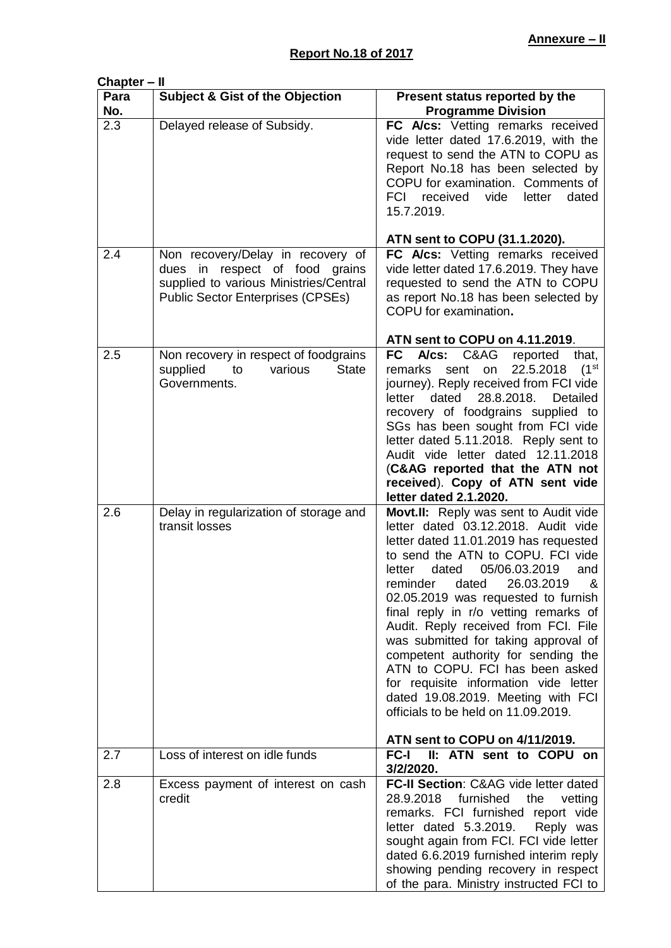| Chapter – II |                                                                                                                                                           |                                                                                                                                                                                                                                                                                                                                                                                                                                                                                                                                                                      |
|--------------|-----------------------------------------------------------------------------------------------------------------------------------------------------------|----------------------------------------------------------------------------------------------------------------------------------------------------------------------------------------------------------------------------------------------------------------------------------------------------------------------------------------------------------------------------------------------------------------------------------------------------------------------------------------------------------------------------------------------------------------------|
| Para<br>No.  | <b>Subject &amp; Gist of the Objection</b>                                                                                                                | Present status reported by the<br><b>Programme Division</b>                                                                                                                                                                                                                                                                                                                                                                                                                                                                                                          |
| 2.3          | Delayed release of Subsidy.                                                                                                                               | FC A/cs: Vetting remarks received<br>vide letter dated 17.6.2019, with the<br>request to send the ATN to COPU as<br>Report No.18 has been selected by<br>COPU for examination. Comments of<br><b>FCI</b><br>received<br>vide<br>letter<br>dated<br>15.7.2019.                                                                                                                                                                                                                                                                                                        |
|              |                                                                                                                                                           | ATN sent to COPU (31.1.2020).                                                                                                                                                                                                                                                                                                                                                                                                                                                                                                                                        |
| 2.4          | Non recovery/Delay in recovery of<br>dues in respect of food grains<br>supplied to various Ministries/Central<br><b>Public Sector Enterprises (CPSEs)</b> | FC A/cs: Vetting remarks received<br>vide letter dated 17.6.2019. They have<br>requested to send the ATN to COPU<br>as report No.18 has been selected by<br>COPU for examination.                                                                                                                                                                                                                                                                                                                                                                                    |
|              |                                                                                                                                                           | ATN sent to COPU on 4.11.2019.                                                                                                                                                                                                                                                                                                                                                                                                                                                                                                                                       |
| 2.5          | Non recovery in respect of foodgrains<br><b>State</b><br>supplied<br>to<br>various<br>Governments.                                                        | FC A/cs: C&AG<br>reported<br>that,<br>(1 <sup>st</sup> )<br>22.5.2018<br>remarks sent<br>on<br>journey). Reply received from FCI vide<br>28.8.2018.<br>dated<br>Detailed<br>letter<br>recovery of foodgrains supplied to<br>SGs has been sought from FCI vide<br>letter dated 5.11.2018. Reply sent to<br>Audit vide letter dated 12.11.2018<br>(C&AG reported that the ATN not<br>received). Copy of ATN sent vide<br>letter dated 2.1.2020.                                                                                                                        |
| 2.6          | Delay in regularization of storage and                                                                                                                    | Movt.II: Reply was sent to Audit vide                                                                                                                                                                                                                                                                                                                                                                                                                                                                                                                                |
|              | transit losses                                                                                                                                            | letter dated 03.12.2018. Audit vide<br>letter dated 11.01.2019 has requested<br>to send the ATN to COPU. FCI vide<br>letter<br>dated<br>05/06.03.2019<br>and<br>reminder<br>dated<br>26.03.2019<br>&<br>02.05.2019 was requested to furnish<br>final reply in r/o vetting remarks of<br>Audit. Reply received from FCI. File<br>was submitted for taking approval of<br>competent authority for sending the<br>ATN to COPU. FCI has been asked<br>for requisite information vide letter<br>dated 19.08.2019. Meeting with FCI<br>officials to be held on 11.09.2019. |
| 2.7          | Loss of interest on idle funds                                                                                                                            | ATN sent to COPU on 4/11/2019.<br>FC-I II: ATN sent to COPU on                                                                                                                                                                                                                                                                                                                                                                                                                                                                                                       |
|              |                                                                                                                                                           | 3/2/2020.                                                                                                                                                                                                                                                                                                                                                                                                                                                                                                                                                            |
| 2.8          | Excess payment of interest on cash<br>credit                                                                                                              | FC-II Section: C&AG vide letter dated<br>28.9.2018<br>furnished<br>vetting<br>the<br>remarks. FCI furnished report vide<br>letter dated 5.3.2019.<br>Reply was<br>sought again from FCI. FCI vide letter<br>dated 6.6.2019 furnished interim reply<br>showing pending recovery in respect<br>of the para. Ministry instructed FCI to                                                                                                                                                                                                                                 |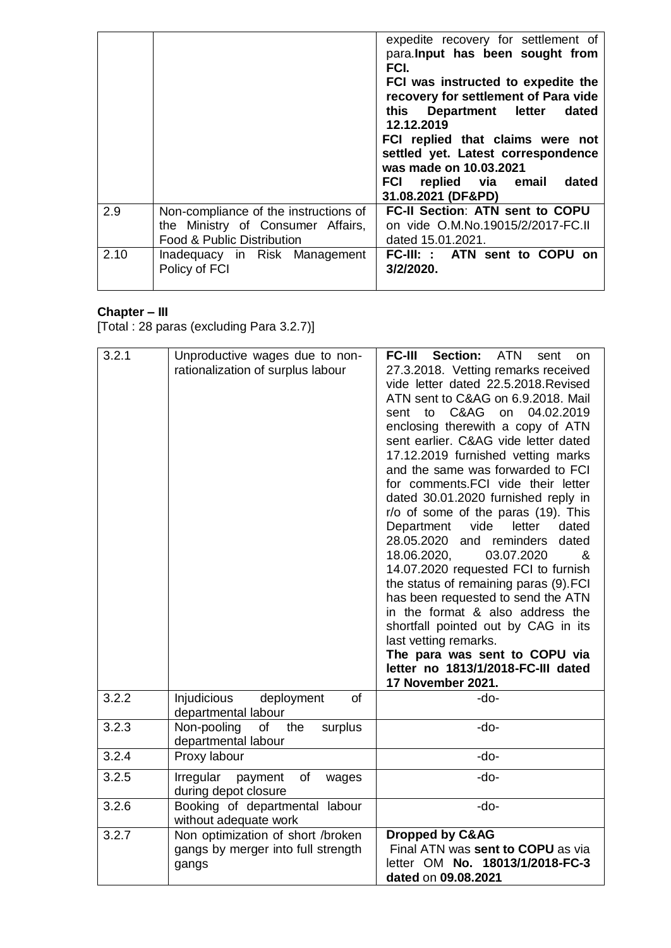|      |                                                                                                          | expedite recovery for settlement of<br>para. Input has been sought from<br>FCI.<br>FCI was instructed to expedite the<br>recovery for settlement of Para vide<br>this Department letter<br>dated<br>12.12.2019<br>FCI replied that claims were not<br>settled yet. Latest correspondence<br>was made on 10.03.2021<br>FCI replied via email<br>dated<br>31.08.2021 (DF&PD) |
|------|----------------------------------------------------------------------------------------------------------|----------------------------------------------------------------------------------------------------------------------------------------------------------------------------------------------------------------------------------------------------------------------------------------------------------------------------------------------------------------------------|
| 2.9  | Non-compliance of the instructions of<br>the Ministry of Consumer Affairs,<br>Food & Public Distribution | FC-II Section: ATN sent to COPU<br>on vide O.M.No.19015/2/2017-FC.II<br>dated 15.01.2021.                                                                                                                                                                                                                                                                                  |
| 2.10 | Inadequacy in Risk Management<br>Policy of FCI                                                           | FC-III: : ATN sent to COPU on<br>3/2/2020.                                                                                                                                                                                                                                                                                                                                 |

### **Chapter – III**

[Total : 28 paras (excluding Para 3.2.7)]

| 3.2.1 | Unproductive wages due to non-<br>rationalization of surplus labour              | Section:<br><b>ATN</b><br>FC-III<br>sent<br>on<br>27.3.2018. Vetting remarks received<br>vide letter dated 22.5.2018.Revised<br>ATN sent to C&AG on 6.9.2018. Mail<br>C&AG<br>04.02.2019<br>on<br>sent<br>to<br>enclosing therewith a copy of ATN<br>sent earlier. C&AG vide letter dated<br>17.12.2019 furnished vetting marks<br>and the same was forwarded to FCI<br>for comments.FCI vide their letter<br>dated 30.01.2020 furnished reply in<br>r/o of some of the paras (19). This<br>Department<br>vide<br>letter<br>dated<br>28.05.2020 and<br>reminders<br>dated<br>18.06.2020,<br>03.07.2020<br>&<br>14.07.2020 requested FCI to furnish<br>the status of remaining paras (9).FCI<br>has been requested to send the ATN<br>in the format & also address the<br>shortfall pointed out by CAG in its<br>last vetting remarks.<br>The para was sent to COPU via<br>letter no 1813/1/2018-FC-III dated<br>17 November 2021. |
|-------|----------------------------------------------------------------------------------|-----------------------------------------------------------------------------------------------------------------------------------------------------------------------------------------------------------------------------------------------------------------------------------------------------------------------------------------------------------------------------------------------------------------------------------------------------------------------------------------------------------------------------------------------------------------------------------------------------------------------------------------------------------------------------------------------------------------------------------------------------------------------------------------------------------------------------------------------------------------------------------------------------------------------------------|
| 3.2.2 | Injudicious<br>of<br>deployment<br>departmental labour                           | -do-                                                                                                                                                                                                                                                                                                                                                                                                                                                                                                                                                                                                                                                                                                                                                                                                                                                                                                                              |
| 3.2.3 | the<br>Non-pooling<br>surplus<br>of<br>departmental labour                       | -do-                                                                                                                                                                                                                                                                                                                                                                                                                                                                                                                                                                                                                                                                                                                                                                                                                                                                                                                              |
| 3.2.4 | Proxy labour                                                                     | -do-                                                                                                                                                                                                                                                                                                                                                                                                                                                                                                                                                                                                                                                                                                                                                                                                                                                                                                                              |
| 3.2.5 | Irregular<br>payment<br>of<br>wages<br>during depot closure                      | -do-                                                                                                                                                                                                                                                                                                                                                                                                                                                                                                                                                                                                                                                                                                                                                                                                                                                                                                                              |
| 3.2.6 | Booking of departmental labour<br>without adequate work                          | $-do-$                                                                                                                                                                                                                                                                                                                                                                                                                                                                                                                                                                                                                                                                                                                                                                                                                                                                                                                            |
| 3.2.7 | Non optimization of short /broken<br>gangs by merger into full strength<br>gangs | <b>Dropped by C&amp;AG</b><br>Final ATN was sent to COPU as via<br>letter OM No. 18013/1/2018-FC-3<br>dated on 09.08.2021                                                                                                                                                                                                                                                                                                                                                                                                                                                                                                                                                                                                                                                                                                                                                                                                         |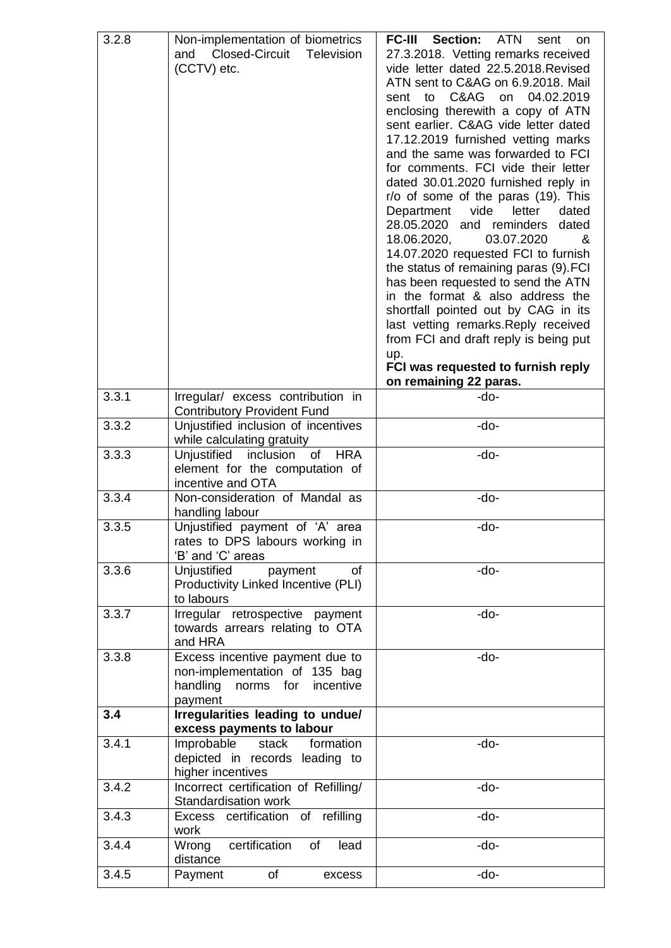| 3.2.8 | Non-implementation of biometrics<br>Closed-Circuit<br>Television<br>and<br>(CCTV) etc.                            | Section:<br>FC-III<br>ATN<br>sent<br>on<br>27.3.2018. Vetting remarks received<br>vide letter dated 22.5.2018.Revised<br>ATN sent to C&AG on 6.9.2018. Mail<br>C&AG<br>04.02.2019<br>sent to<br>on<br>enclosing therewith a copy of ATN<br>sent earlier. C&AG vide letter dated<br>17.12.2019 furnished vetting marks<br>and the same was forwarded to FCI<br>for comments. FCI vide their letter<br>dated 30.01.2020 furnished reply in<br>r/o of some of the paras (19). This<br>Department<br>vide<br>letter<br>dated<br>28.05.2020 and reminders<br>dated<br>18.06.2020,<br>03.07.2020<br>&<br>14.07.2020 requested FCI to furnish<br>the status of remaining paras (9).FCI<br>has been requested to send the ATN<br>in the format & also address the<br>shortfall pointed out by CAG in its<br>last vetting remarks. Reply received<br>from FCI and draft reply is being put<br>up.<br>FCI was requested to furnish reply |
|-------|-------------------------------------------------------------------------------------------------------------------|--------------------------------------------------------------------------------------------------------------------------------------------------------------------------------------------------------------------------------------------------------------------------------------------------------------------------------------------------------------------------------------------------------------------------------------------------------------------------------------------------------------------------------------------------------------------------------------------------------------------------------------------------------------------------------------------------------------------------------------------------------------------------------------------------------------------------------------------------------------------------------------------------------------------------------|
| 3.3.1 | Irregular/ excess contribution in                                                                                 | on remaining 22 paras.<br>-do-                                                                                                                                                                                                                                                                                                                                                                                                                                                                                                                                                                                                                                                                                                                                                                                                                                                                                                 |
|       | <b>Contributory Provident Fund</b>                                                                                |                                                                                                                                                                                                                                                                                                                                                                                                                                                                                                                                                                                                                                                                                                                                                                                                                                                                                                                                |
| 3.3.2 | Unjustified inclusion of incentives<br>while calculating gratuity                                                 | -do-                                                                                                                                                                                                                                                                                                                                                                                                                                                                                                                                                                                                                                                                                                                                                                                                                                                                                                                           |
| 3.3.3 | Unjustified inclusion<br>of HRA                                                                                   | -do-                                                                                                                                                                                                                                                                                                                                                                                                                                                                                                                                                                                                                                                                                                                                                                                                                                                                                                                           |
|       | element for the computation of<br>incentive and OTA                                                               |                                                                                                                                                                                                                                                                                                                                                                                                                                                                                                                                                                                                                                                                                                                                                                                                                                                                                                                                |
| 3.3.4 | Non-consideration of Mandal as<br>handling labour                                                                 | -do-                                                                                                                                                                                                                                                                                                                                                                                                                                                                                                                                                                                                                                                                                                                                                                                                                                                                                                                           |
| 3.3.5 | Unjustified payment of 'A' area<br>rates to DPS labours working in                                                | -do-                                                                                                                                                                                                                                                                                                                                                                                                                                                                                                                                                                                                                                                                                                                                                                                                                                                                                                                           |
| 3.3.6 | 'B' and 'C' areas<br>Unjustified<br>payment<br>of                                                                 | -do-                                                                                                                                                                                                                                                                                                                                                                                                                                                                                                                                                                                                                                                                                                                                                                                                                                                                                                                           |
|       | Productivity Linked Incentive (PLI)<br>to labours                                                                 |                                                                                                                                                                                                                                                                                                                                                                                                                                                                                                                                                                                                                                                                                                                                                                                                                                                                                                                                |
| 3.3.7 | Irregular retrospective payment<br>towards arrears relating to OTA<br>and HRA                                     | -do-                                                                                                                                                                                                                                                                                                                                                                                                                                                                                                                                                                                                                                                                                                                                                                                                                                                                                                                           |
| 3.3.8 | Excess incentive payment due to<br>non-implementation of 135 bag<br>handling<br>norms for<br>incentive<br>payment | -do-                                                                                                                                                                                                                                                                                                                                                                                                                                                                                                                                                                                                                                                                                                                                                                                                                                                                                                                           |
| 3.4   | <b>Irregularities leading to undue/</b><br>excess payments to labour                                              |                                                                                                                                                                                                                                                                                                                                                                                                                                                                                                                                                                                                                                                                                                                                                                                                                                                                                                                                |
| 3.4.1 | Improbable<br>stack<br>formation<br>depicted in records leading to<br>higher incentives                           | -do-                                                                                                                                                                                                                                                                                                                                                                                                                                                                                                                                                                                                                                                                                                                                                                                                                                                                                                                           |
| 3.4.2 | Incorrect certification of Refilling/<br>Standardisation work                                                     | -do-                                                                                                                                                                                                                                                                                                                                                                                                                                                                                                                                                                                                                                                                                                                                                                                                                                                                                                                           |
| 3.4.3 | Excess certification of refilling<br>work                                                                         | -do-                                                                                                                                                                                                                                                                                                                                                                                                                                                                                                                                                                                                                                                                                                                                                                                                                                                                                                                           |
| 3.4.4 | certification<br>Wrong<br>of<br>lead<br>distance                                                                  | -do-                                                                                                                                                                                                                                                                                                                                                                                                                                                                                                                                                                                                                                                                                                                                                                                                                                                                                                                           |
| 3.4.5 | Payment<br>of<br>excess                                                                                           | -do-                                                                                                                                                                                                                                                                                                                                                                                                                                                                                                                                                                                                                                                                                                                                                                                                                                                                                                                           |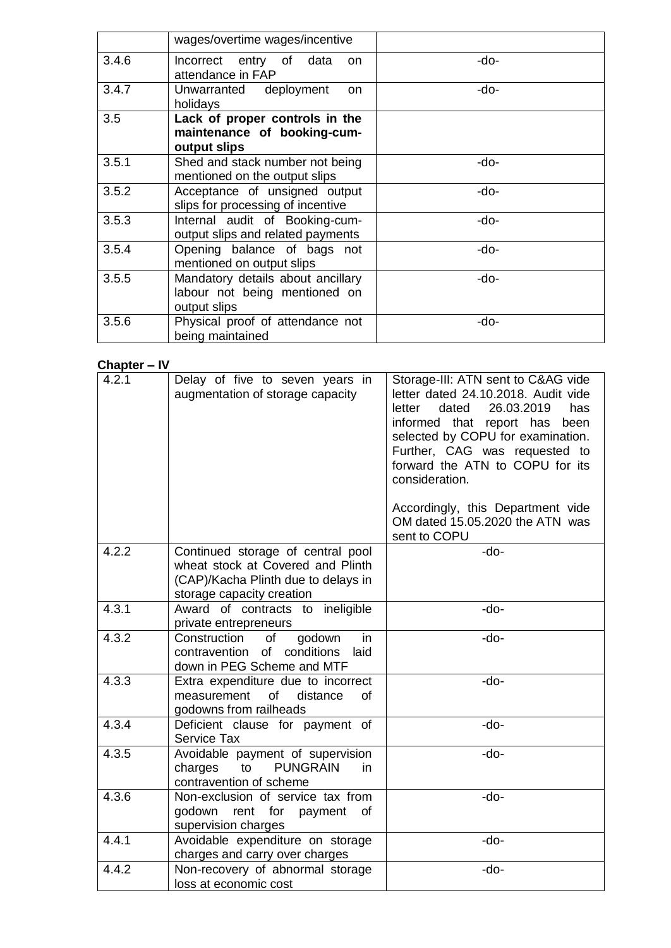|       | wages/overtime wages/incentive                                                     |      |
|-------|------------------------------------------------------------------------------------|------|
| 3.4.6 | Incorrect entry of data<br><b>on</b><br>attendance in FAP                          | -do- |
| 3.4.7 | Unwarranted deployment<br><b>on</b><br>holidays                                    | -do- |
| 3.5   | Lack of proper controls in the<br>maintenance of booking-cum-<br>output slips      |      |
| 3.5.1 | Shed and stack number not being<br>mentioned on the output slips                   | -do- |
| 3.5.2 | Acceptance of unsigned output<br>slips for processing of incentive                 | -do- |
| 3.5.3 | Internal audit of Booking-cum-<br>output slips and related payments                | -do- |
| 3.5.4 | Opening balance of bags not<br>mentioned on output slips                           | -do- |
| 3.5.5 | Mandatory details about ancillary<br>labour not being mentioned on<br>output slips | -do- |
| 3.5.6 | Physical proof of attendance not<br>being maintained                               | -do- |

### **Chapter – IV**

| suptor |                                                                                                                                            |                                                                                                                                                                                                                                                                                                                                                          |
|--------|--------------------------------------------------------------------------------------------------------------------------------------------|----------------------------------------------------------------------------------------------------------------------------------------------------------------------------------------------------------------------------------------------------------------------------------------------------------------------------------------------------------|
| 4.2.1  | Delay of five to seven years in<br>augmentation of storage capacity                                                                        | Storage-III: ATN sent to C&AG vide<br>letter dated 24.10.2018. Audit vide<br>26.03.2019<br>letter<br>dated<br>has<br>informed that report has<br>been<br>selected by COPU for examination.<br>Further, CAG was requested to<br>forward the ATN to COPU for its<br>consideration.<br>Accordingly, this Department vide<br>OM dated 15.05.2020 the ATN was |
|        |                                                                                                                                            | sent to COPU                                                                                                                                                                                                                                                                                                                                             |
| 4.2.2  | Continued storage of central pool<br>wheat stock at Covered and Plinth<br>(CAP)/Kacha Plinth due to delays in<br>storage capacity creation | -do-                                                                                                                                                                                                                                                                                                                                                     |
| 4.3.1  | Award of contracts to ineligible<br>private entrepreneurs                                                                                  | -do-                                                                                                                                                                                                                                                                                                                                                     |
| 4.3.2  | Construction<br>of<br>godown<br>in<br>contravention of<br>conditions<br>laid<br>down in PEG Scheme and MTF                                 | -do-                                                                                                                                                                                                                                                                                                                                                     |
| 4.3.3  | Extra expenditure due to incorrect<br>measurement<br>of<br>distance<br><b>of</b><br>godowns from railheads                                 | -do-                                                                                                                                                                                                                                                                                                                                                     |
| 4.3.4  | Deficient clause for payment of<br>Service Tax                                                                                             | -do-                                                                                                                                                                                                                                                                                                                                                     |
| 4.3.5  | Avoidable payment of supervision<br>to<br>charges<br>PUNGRAIN<br>in.<br>contravention of scheme                                            | -do-                                                                                                                                                                                                                                                                                                                                                     |
| 4.3.6  | Non-exclusion of service tax from<br>godown rent for payment<br>0f<br>supervision charges                                                  | -do-                                                                                                                                                                                                                                                                                                                                                     |
| 4.4.1  | Avoidable expenditure on storage<br>charges and carry over charges                                                                         | -do-                                                                                                                                                                                                                                                                                                                                                     |
| 4.4.2  | Non-recovery of abnormal storage<br>loss at economic cost                                                                                  | -do-                                                                                                                                                                                                                                                                                                                                                     |